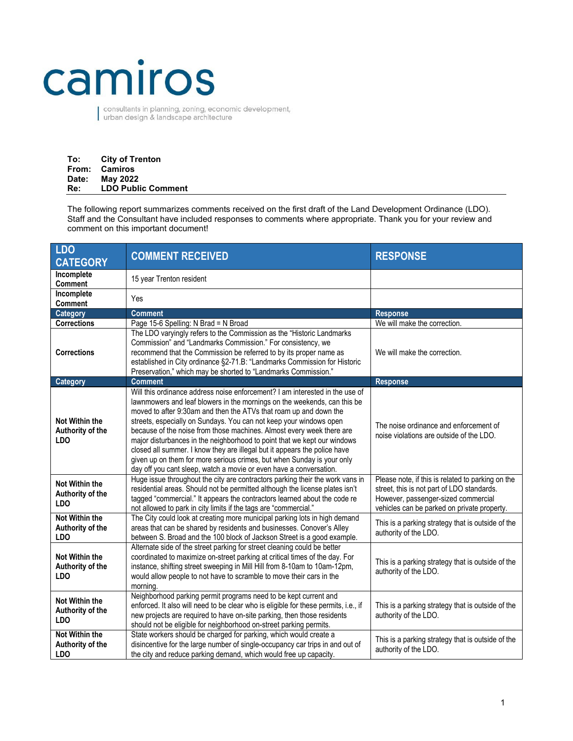## camiros

consultants in planning, zoning, economic development,<br>urban design & landscape architecture

| To:   | <b>City of Trenton</b>    |
|-------|---------------------------|
| From: | Camiros                   |
| Date: | <b>May 2022</b>           |
| Re:   | <b>LDO Public Comment</b> |

The following report summarizes comments received on the first draft of the Land Development Ordinance (LDO). Staff and the Consultant have included responses to comments where appropriate. Thank you for your review and comment on this important document!

| <b>LDO</b><br><b>CATEGORY</b>                           | <b>COMMENT RECEIVED</b>                                                                                                                                                                                                                                                                                                                                                                                                                                                                                                                                                                                                                                                               | <b>RESPONSE</b>                                                                                                                                                                       |
|---------------------------------------------------------|---------------------------------------------------------------------------------------------------------------------------------------------------------------------------------------------------------------------------------------------------------------------------------------------------------------------------------------------------------------------------------------------------------------------------------------------------------------------------------------------------------------------------------------------------------------------------------------------------------------------------------------------------------------------------------------|---------------------------------------------------------------------------------------------------------------------------------------------------------------------------------------|
| Incomplete<br><b>Comment</b>                            | 15 year Trenton resident                                                                                                                                                                                                                                                                                                                                                                                                                                                                                                                                                                                                                                                              |                                                                                                                                                                                       |
| Incomplete<br><b>Comment</b>                            | Yes                                                                                                                                                                                                                                                                                                                                                                                                                                                                                                                                                                                                                                                                                   |                                                                                                                                                                                       |
| Category                                                | <b>Comment</b>                                                                                                                                                                                                                                                                                                                                                                                                                                                                                                                                                                                                                                                                        | <b>Response</b>                                                                                                                                                                       |
| <b>Corrections</b>                                      | Page 15-6 Spelling: N Brad = N Broad                                                                                                                                                                                                                                                                                                                                                                                                                                                                                                                                                                                                                                                  | We will make the correction.                                                                                                                                                          |
| <b>Corrections</b>                                      | The LDO varyingly refers to the Commission as the "Historic Landmarks<br>Commission" and "Landmarks Commission." For consistency, we<br>recommend that the Commission be referred to by its proper name as<br>established in City ordinance §2-71.B: "Landmarks Commission for Historic<br>Preservation," which may be shorted to "Landmarks Commission."                                                                                                                                                                                                                                                                                                                             | We will make the correction.                                                                                                                                                          |
| Category                                                | <b>Comment</b>                                                                                                                                                                                                                                                                                                                                                                                                                                                                                                                                                                                                                                                                        | <b>Response</b>                                                                                                                                                                       |
| Not Within the<br>Authority of the<br><b>LDO</b>        | Will this ordinance address noise enforcement? I am interested in the use of<br>lawnmowers and leaf blowers in the mornings on the weekends, can this be<br>moved to after 9:30am and then the ATVs that roam up and down the<br>streets, especially on Sundays. You can not keep your windows open<br>because of the noise from those machines. Almost every week there are<br>major disturbances in the neighborhood to point that we kept our windows<br>closed all summer. I know they are illegal but it appears the police have<br>given up on them for more serious crimes, but when Sunday is your only<br>day off you cant sleep, watch a movie or even have a conversation. | The noise ordinance and enforcement of<br>noise violations are outside of the LDO.                                                                                                    |
| <b>Not Within the</b><br>Authority of the<br><b>LDO</b> | Huge issue throughout the city are contractors parking their the work vans in<br>residential areas. Should not be permitted although the license plates isn't<br>tagged "commercial." It appears the contractors learned about the code re<br>not allowed to park in city limits if the tags are "commercial."                                                                                                                                                                                                                                                                                                                                                                        | Please note, if this is related to parking on the<br>street, this is not part of LDO standards.<br>However, passenger-sized commercial<br>vehicles can be parked on private property. |
| Not Within the<br>Authority of the<br><b>LDO</b>        | The City could look at creating more municipal parking lots in high demand<br>areas that can be shared by residents and businesses. Conover's Alley<br>between S. Broad and the 100 block of Jackson Street is a good example.                                                                                                                                                                                                                                                                                                                                                                                                                                                        | This is a parking strategy that is outside of the<br>authority of the LDO.                                                                                                            |
| Not Within the<br>Authority of the<br><b>LDO</b>        | Alternate side of the street parking for street cleaning could be better<br>coordinated to maximize on-street parking at critical times of the day. For<br>instance, shifting street sweeping in Mill Hill from 8-10am to 10am-12pm,<br>would allow people to not have to scramble to move their cars in the<br>morning.                                                                                                                                                                                                                                                                                                                                                              | This is a parking strategy that is outside of the<br>authority of the LDO.                                                                                                            |
| Not Within the<br>Authority of the<br><b>LDO</b>        | Neighborhood parking permit programs need to be kept current and<br>enforced. It also will need to be clear who is eligible for these permits, i.e., if<br>new projects are required to have on-site parking, then those residents<br>should not be eligible for neighborhood on-street parking permits.                                                                                                                                                                                                                                                                                                                                                                              | This is a parking strategy that is outside of the<br>authority of the LDO.                                                                                                            |
| Not Within the<br>Authority of the<br><b>LDO</b>        | State workers should be charged for parking, which would create a<br>disincentive for the large number of single-occupancy car trips in and out of<br>the city and reduce parking demand, which would free up capacity.                                                                                                                                                                                                                                                                                                                                                                                                                                                               | This is a parking strategy that is outside of the<br>authority of the LDO.                                                                                                            |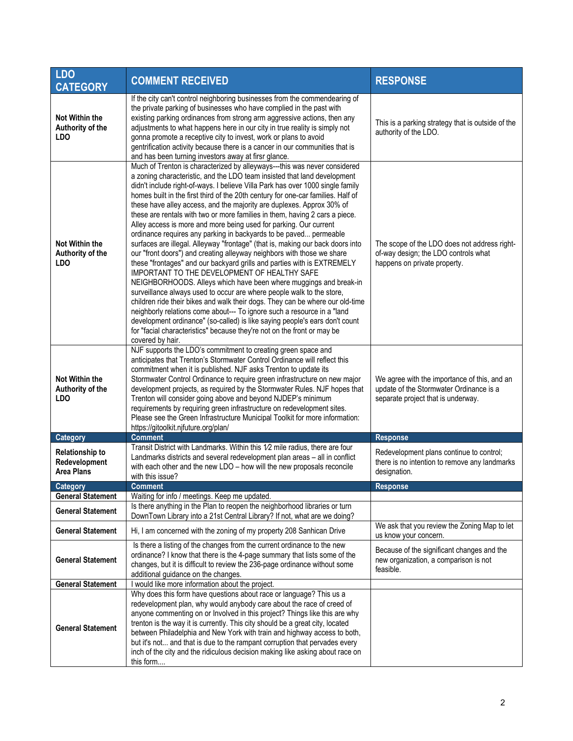| <b>LDO</b><br><b>CATEGORY</b>                                | <b>COMMENT RECEIVED</b>                                                                                                                                                                                                                                                                                                                                                                                                                                                                                                                                                                                                                                                                                                                                                                                                                                                                                                                                                                                                                                                                                                                                                                                                                                                                                                                                                                                      | <b>RESPONSE</b>                                                                                                               |
|--------------------------------------------------------------|--------------------------------------------------------------------------------------------------------------------------------------------------------------------------------------------------------------------------------------------------------------------------------------------------------------------------------------------------------------------------------------------------------------------------------------------------------------------------------------------------------------------------------------------------------------------------------------------------------------------------------------------------------------------------------------------------------------------------------------------------------------------------------------------------------------------------------------------------------------------------------------------------------------------------------------------------------------------------------------------------------------------------------------------------------------------------------------------------------------------------------------------------------------------------------------------------------------------------------------------------------------------------------------------------------------------------------------------------------------------------------------------------------------|-------------------------------------------------------------------------------------------------------------------------------|
| <b>Not Within the</b><br>Authority of the<br><b>LDO</b>      | If the city can't control neighboring businesses from the commendearing of<br>the private parking of businesses who have complied in the past with<br>existing parking ordinances from strong arm aggressive actions, then any<br>adjustments to what happens here in our city in true reality is simply not<br>gonna promote a receptive city to invest, work or plans to avoid<br>gentrification activity because there is a cancer in our communities that is<br>and has been turning investors away at firsr glance.                                                                                                                                                                                                                                                                                                                                                                                                                                                                                                                                                                                                                                                                                                                                                                                                                                                                                     | This is a parking strategy that is outside of the<br>authority of the LDO.                                                    |
| <b>Not Within the</b><br>Authority of the<br><b>LDO</b>      | Much of Trenton is characterized by alleyways---this was never considered<br>a zoning characteristic, and the LDO team insisted that land development<br>didn't include right-of-ways. I believe Villa Park has over 1000 single family<br>homes built in the first third of the 20th century for one-car families. Half of<br>these have alley access, and the majority are duplexes. Approx 30% of<br>these are rentals with two or more families in them, having 2 cars a piece.<br>Alley access is more and more being used for parking. Our current<br>ordinance requires any parking in backyards to be paved permeable<br>surfaces are illegal. Alleyway "frontage" (that is, making our back doors into<br>our "front doors") and creating alleyway neighbors with those we share<br>these "frontages" and our backyard grills and parties with is EXTREMELY<br>IMPORTANT TO THE DEVELOPMENT OF HEALTHY SAFE<br>NEIGHBORHOODS. Alleys which have been where muggings and break-in<br>surveillance always used to occur are where people walk to the store,<br>children ride their bikes and walk their dogs. They can be where our old-time<br>neighborly relations come about--- To ignore such a resource in a "land<br>development ordinance" (so-called) is like saying people's ears don't count<br>for "facial characteristics" because they're not on the front or may be<br>covered by hair. | The scope of the LDO does not address right-<br>of-way design; the LDO controls what<br>happens on private property.          |
| Not Within the<br>Authority of the<br><b>LDO</b>             | NJF supports the LDO's commitment to creating green space and<br>anticipates that Trenton's Stormwater Control Ordinance will reflect this<br>commitment when it is published. NJF asks Trenton to update its<br>Stormwater Control Ordinance to require green infrastructure on new major<br>development projects, as required by the Stormwater Rules. NJF hopes that<br>Trenton will consider going above and beyond NJDEP's minimum<br>requirements by requiring green infrastructure on redevelopment sites.<br>Please see the Green Infrastructure Municipal Toolkit for more information:<br>https://gitoolkit.njfuture.org/plan/                                                                                                                                                                                                                                                                                                                                                                                                                                                                                                                                                                                                                                                                                                                                                                     | We agree with the importance of this, and an<br>update of the Stormwater Ordinance is a<br>separate project that is underway. |
| <b>Category</b>                                              | <b>Comment</b>                                                                                                                                                                                                                                                                                                                                                                                                                                                                                                                                                                                                                                                                                                                                                                                                                                                                                                                                                                                                                                                                                                                                                                                                                                                                                                                                                                                               | <b>Response</b>                                                                                                               |
| <b>Relationship to</b><br>Redevelopment<br><b>Area Plans</b> | Transit District with Landmarks. Within this 1/2 mile radius, there are four<br>Landmarks districts and several redevelopment plan areas - all in conflict<br>with each other and the new LDO - how will the new proposals reconcile<br>with this issue?                                                                                                                                                                                                                                                                                                                                                                                                                                                                                                                                                                                                                                                                                                                                                                                                                                                                                                                                                                                                                                                                                                                                                     | Redevelopment plans continue to control;<br>there is no intention to remove any landmarks<br>designation.                     |
| Category                                                     | <b>Comment</b>                                                                                                                                                                                                                                                                                                                                                                                                                                                                                                                                                                                                                                                                                                                                                                                                                                                                                                                                                                                                                                                                                                                                                                                                                                                                                                                                                                                               | <b>Response</b>                                                                                                               |
| <b>General Statement</b>                                     | Waiting for info / meetings. Keep me updated.<br>Is there anything in the Plan to reopen the neighborhood libraries or turn                                                                                                                                                                                                                                                                                                                                                                                                                                                                                                                                                                                                                                                                                                                                                                                                                                                                                                                                                                                                                                                                                                                                                                                                                                                                                  |                                                                                                                               |
| <b>General Statement</b>                                     | DownTown Library into a 21st Central Library? If not, what are we doing?                                                                                                                                                                                                                                                                                                                                                                                                                                                                                                                                                                                                                                                                                                                                                                                                                                                                                                                                                                                                                                                                                                                                                                                                                                                                                                                                     | We ask that you review the Zoning Map to let                                                                                  |
| <b>General Statement</b>                                     | Hi, I am concerned with the zoning of my property 208 Sanhican Drive                                                                                                                                                                                                                                                                                                                                                                                                                                                                                                                                                                                                                                                                                                                                                                                                                                                                                                                                                                                                                                                                                                                                                                                                                                                                                                                                         | us know your concern.                                                                                                         |
| <b>General Statement</b>                                     | Is there a listing of the changes from the current ordinance to the new<br>ordinance? I know that there is the 4-page summary that lists some of the<br>changes, but it is difficult to review the 236-page ordinance without some<br>additional guidance on the changes.                                                                                                                                                                                                                                                                                                                                                                                                                                                                                                                                                                                                                                                                                                                                                                                                                                                                                                                                                                                                                                                                                                                                    | Because of the significant changes and the<br>new organization, a comparison is not<br>feasible.                              |
| <b>General Statement</b>                                     | I would like more information about the project.                                                                                                                                                                                                                                                                                                                                                                                                                                                                                                                                                                                                                                                                                                                                                                                                                                                                                                                                                                                                                                                                                                                                                                                                                                                                                                                                                             |                                                                                                                               |
| <b>General Statement</b>                                     | Why does this form have questions about race or language? This us a<br>redevelopment plan, why would anybody care about the race of creed of<br>anyone commenting on or Involved in this project? Things like this are why<br>trenton is the way it is currently. This city should be a great city, located<br>between Philadelphia and New York with train and highway access to both,<br>but it's not and that is due to the rampant corruption that pervades every<br>inch of the city and the ridiculous decision making like asking about race on<br>this form                                                                                                                                                                                                                                                                                                                                                                                                                                                                                                                                                                                                                                                                                                                                                                                                                                          |                                                                                                                               |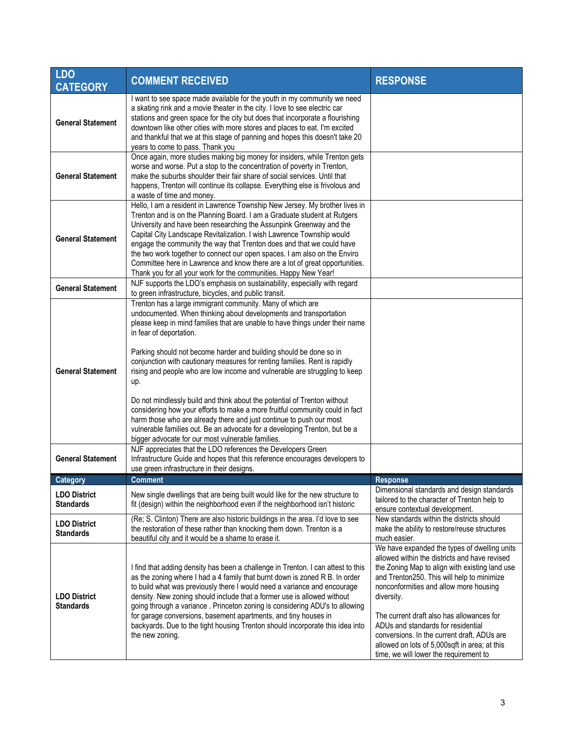| <b>LDO</b><br><b>CATEGORY</b>                        | <b>COMMENT RECEIVED</b>                                                                                                                                                                                                                                                                                                                                                                                                                                                                                                                                                                                                                                                                                                                                                                                                                                                                                                                                                                                                                                | <b>RESPONSE</b>                                                                                                                                                                                                                                                                                                                                                                                                                                                                    |
|------------------------------------------------------|--------------------------------------------------------------------------------------------------------------------------------------------------------------------------------------------------------------------------------------------------------------------------------------------------------------------------------------------------------------------------------------------------------------------------------------------------------------------------------------------------------------------------------------------------------------------------------------------------------------------------------------------------------------------------------------------------------------------------------------------------------------------------------------------------------------------------------------------------------------------------------------------------------------------------------------------------------------------------------------------------------------------------------------------------------|------------------------------------------------------------------------------------------------------------------------------------------------------------------------------------------------------------------------------------------------------------------------------------------------------------------------------------------------------------------------------------------------------------------------------------------------------------------------------------|
| <b>General Statement</b>                             | I want to see space made available for the youth in my community we need<br>a skating rink and a movie theater in the city. I love to see electric car<br>stations and green space for the city but does that incorporate a flourishing<br>downtown like other cities with more stores and places to eat. I'm excited<br>and thankful that we at this stage of panning and hopes this doesn't take 20<br>years to come to pass. Thank you                                                                                                                                                                                                                                                                                                                                                                                                                                                                                                                                                                                                              |                                                                                                                                                                                                                                                                                                                                                                                                                                                                                    |
| <b>General Statement</b>                             | Once again, more studies making big money for insiders, while Trenton gets<br>worse and worse. Put a stop to the concentration of poverty in Trenton,<br>make the suburbs shoulder their fair share of social services. Until that<br>happens, Trenton will continue its collapse. Everything else is frivolous and<br>a waste of time and money.                                                                                                                                                                                                                                                                                                                                                                                                                                                                                                                                                                                                                                                                                                      |                                                                                                                                                                                                                                                                                                                                                                                                                                                                                    |
| <b>General Statement</b>                             | Hello, I am a resident in Lawrence Township New Jersey. My brother lives in<br>Trenton and is on the Planning Board. I am a Graduate student at Rutgers<br>University and have been researching the Assunpink Greenway and the<br>Capital City Landscape Revitalization. I wish Lawrence Township would<br>engage the community the way that Trenton does and that we could have<br>the two work together to connect our open spaces. I am also on the Enviro<br>Committee here in Lawrence and know there are a lot of great opportunities.<br>Thank you for all your work for the communities. Happy New Year!                                                                                                                                                                                                                                                                                                                                                                                                                                       |                                                                                                                                                                                                                                                                                                                                                                                                                                                                                    |
| <b>General Statement</b>                             | NJF supports the LDO's emphasis on sustainability, especially with regard<br>to green infrastructure, bicycles, and public transit.                                                                                                                                                                                                                                                                                                                                                                                                                                                                                                                                                                                                                                                                                                                                                                                                                                                                                                                    |                                                                                                                                                                                                                                                                                                                                                                                                                                                                                    |
| <b>General Statement</b><br><b>General Statement</b> | Trenton has a large immigrant community. Many of which are<br>undocumented. When thinking about developments and transportation<br>please keep in mind families that are unable to have things under their name<br>in fear of deportation.<br>Parking should not become harder and building should be done so in<br>conjunction with cautionary measures for renting families. Rent is rapidly<br>rising and people who are low income and vulnerable are struggling to keep<br>up.<br>Do not mindlessly build and think about the potential of Trenton without<br>considering how your efforts to make a more fruitful community could in fact<br>harm those who are already there and just continue to push our most<br>vulnerable families out. Be an advocate for a developing Trenton, but be a<br>bigger advocate for our most vulnerable families.<br>NJF appreciates that the LDO references the Developers Green<br>Infrastructure Guide and hopes that this reference encourages developers to<br>use green infrastructure in their designs. |                                                                                                                                                                                                                                                                                                                                                                                                                                                                                    |
| <b>Category</b>                                      | <b>Comment</b>                                                                                                                                                                                                                                                                                                                                                                                                                                                                                                                                                                                                                                                                                                                                                                                                                                                                                                                                                                                                                                         | <b>Response</b>                                                                                                                                                                                                                                                                                                                                                                                                                                                                    |
| <b>LDO District</b><br><b>Standards</b>              | New single dwellings that are being built would like for the new structure to<br>fit (design) within the neighborhood even if the neighborhood isn't historic                                                                                                                                                                                                                                                                                                                                                                                                                                                                                                                                                                                                                                                                                                                                                                                                                                                                                          | Dimensional standards and design standards<br>tailored to the character of Trenton help to<br>ensure contextual development.                                                                                                                                                                                                                                                                                                                                                       |
| <b>LDO District</b><br><b>Standards</b>              | (Re; S. Clinton) There are also historic buildings in the area. I'd love to see<br>the restoration of these rather than knocking them down. Trenton is a<br>beautiful city and it would be a shame to erase it.                                                                                                                                                                                                                                                                                                                                                                                                                                                                                                                                                                                                                                                                                                                                                                                                                                        | New standards within the districts should<br>make the ability to restore/reuse structures<br>much easier.                                                                                                                                                                                                                                                                                                                                                                          |
| <b>LDO District</b><br><b>Standards</b>              | I find that adding density has been a challenge in Trenton. I can attest to this<br>as the zoning where I had a 4 family that burnt down is zoned R B. In order<br>to build what was previously there I would need a variance and encourage<br>density. New zoning should include that a former use is allowed without<br>going through a variance . Princeton zoning is considering ADU's to allowing<br>for garage conversions, basement apartments, and tiny houses in<br>backyards. Due to the tight housing Trenton should incorporate this idea into<br>the new zoning.                                                                                                                                                                                                                                                                                                                                                                                                                                                                          | We have expanded the types of dwelling units<br>allowed within the districts and have revised<br>the Zoning Map to align with existing land use<br>and Trenton250. This will help to minimize<br>nonconformities and allow more housing<br>diversity.<br>The current draft also has allowances for<br>ADUs and standards for residential<br>conversions. In the current draft, ADUs are<br>allowed on lots of 5,000sqft in area; at this<br>time, we will lower the requirement to |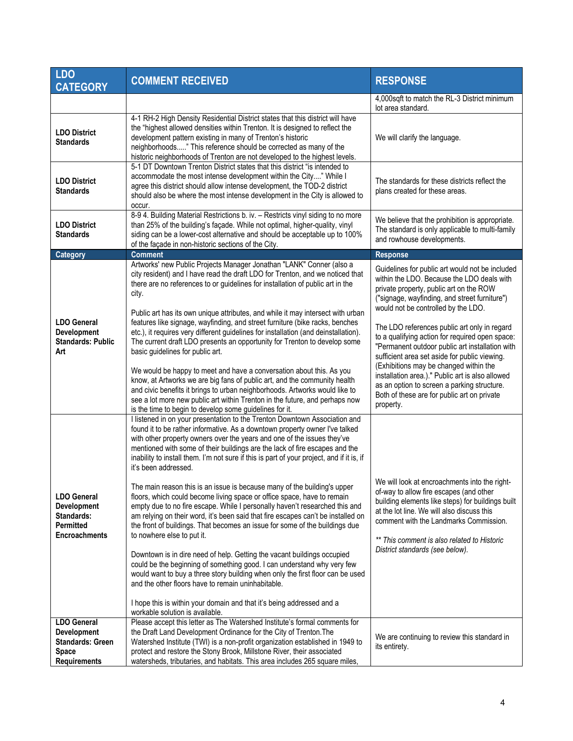| <b>LDO</b><br><b>CATEGORY</b>                                                                              | <b>COMMENT RECEIVED</b>                                                                                                                                                                                                                                                                                                                                                                                                                                                                                                                                                                                                                                                                                                                                                                                                                                                                                                                                                                                             | <b>RESPONSE</b>                                                                                                                                                                                                                                                                                                                                                                                               |
|------------------------------------------------------------------------------------------------------------|---------------------------------------------------------------------------------------------------------------------------------------------------------------------------------------------------------------------------------------------------------------------------------------------------------------------------------------------------------------------------------------------------------------------------------------------------------------------------------------------------------------------------------------------------------------------------------------------------------------------------------------------------------------------------------------------------------------------------------------------------------------------------------------------------------------------------------------------------------------------------------------------------------------------------------------------------------------------------------------------------------------------|---------------------------------------------------------------------------------------------------------------------------------------------------------------------------------------------------------------------------------------------------------------------------------------------------------------------------------------------------------------------------------------------------------------|
|                                                                                                            |                                                                                                                                                                                                                                                                                                                                                                                                                                                                                                                                                                                                                                                                                                                                                                                                                                                                                                                                                                                                                     | 4,000sqft to match the RL-3 District minimum<br>lot area standard.                                                                                                                                                                                                                                                                                                                                            |
| <b>LDO District</b><br><b>Standards</b>                                                                    | 4-1 RH-2 High Density Residential District states that this district will have<br>the "highest allowed densities within Trenton. It is designed to reflect the<br>development pattern existing in many of Trenton's historic<br>neighborhoods" This reference should be corrected as many of the<br>historic neighborhoods of Trenton are not developed to the highest levels.                                                                                                                                                                                                                                                                                                                                                                                                                                                                                                                                                                                                                                      | We will clarify the language.                                                                                                                                                                                                                                                                                                                                                                                 |
| <b>LDO District</b><br><b>Standards</b>                                                                    | 5-1 DT Downtown Trenton District states that this district "is intended to<br>accommodate the most intense development within the City" While I<br>agree this district should allow intense development, the TOD-2 district<br>should also be where the most intense development in the City is allowed to<br>occur.                                                                                                                                                                                                                                                                                                                                                                                                                                                                                                                                                                                                                                                                                                | The standards for these districts reflect the<br>plans created for these areas.                                                                                                                                                                                                                                                                                                                               |
| <b>LDO District</b><br><b>Standards</b>                                                                    | 8-9 4. Building Material Restrictions b. iv. - Restricts vinyl siding to no more<br>than 25% of the building's façade. While not optimal, higher-quality, vinyl<br>siding can be a lower-cost alternative and should be acceptable up to 100%<br>of the façade in non-historic sections of the City.                                                                                                                                                                                                                                                                                                                                                                                                                                                                                                                                                                                                                                                                                                                | We believe that the prohibition is appropriate.<br>The standard is only applicable to multi-family<br>and rowhouse developments.                                                                                                                                                                                                                                                                              |
| <b>Category</b>                                                                                            | <b>Comment</b>                                                                                                                                                                                                                                                                                                                                                                                                                                                                                                                                                                                                                                                                                                                                                                                                                                                                                                                                                                                                      | <b>Response</b>                                                                                                                                                                                                                                                                                                                                                                                               |
| <b>LDO General</b><br>Development                                                                          | Artworks' new Public Projects Manager Jonathan "LANK" Conner (also a<br>city resident) and I have read the draft LDO for Trenton, and we noticed that<br>there are no references to or guidelines for installation of public art in the<br>city.<br>Public art has its own unique attributes, and while it may intersect with urban<br>features like signage, wayfinding, and street furniture (bike racks, benches<br>etc.), it requires very different guidelines for installation (and deinstallation).                                                                                                                                                                                                                                                                                                                                                                                                                                                                                                          | Guidelines for public art would not be included<br>within the LDO. Because the LDO deals with<br>private property, public art on the ROW<br>("signage, wayfinding, and street furniture")<br>would not be controlled by the LDO.<br>The LDO references public art only in regard                                                                                                                              |
| <b>Standards: Public</b><br>Art                                                                            | The current draft LDO presents an opportunity for Trenton to develop some<br>basic guidelines for public art.<br>We would be happy to meet and have a conversation about this. As you<br>know, at Artworks we are big fans of public art, and the community health<br>and civic benefits it brings to urban neighborhoods. Artworks would like to<br>see a lot more new public art within Trenton in the future, and perhaps now<br>is the time to begin to develop some guidelines for it.<br>I listened in on your presentation to the Trenton Downtown Association and<br>found it to be rather informative. As a downtown property owner I've talked<br>with other property owners over the years and one of the issues they've<br>mentioned with some of their buildings are the lack of fire escapes and the<br>inability to install them. I'm not sure if this is part of your project, and if it is, if<br>it's been addressed.<br>The main reason this is an issue is because many of the building's upper | to a qualifying action for required open space:<br>"Permanent outdoor public art installation with<br>sufficient area set aside for public viewing.<br>(Exhibitions may be changed within the<br>installation area.)." Public art is also allowed<br>as an option to screen a parking structure.<br>Both of these are for public art on private<br>property.<br>We will look at encroachments into the right- |
| <b>LDO General</b><br><b>Development</b><br>Standards:<br><b>Permitted</b><br><b>Encroachments</b>         | floors, which could become living space or office space, have to remain<br>empty due to no fire escape. While I personally haven't researched this and<br>am relying on their word, it's been said that fire escapes can't be installed on<br>the front of buildings. That becomes an issue for some of the buildings due<br>to nowhere else to put it.<br>Downtown is in dire need of help. Getting the vacant buildings occupied<br>could be the beginning of something good. I can understand why very few<br>would want to buy a three story building when only the first floor can be used<br>and the other floors have to remain uninhabitable.<br>I hope this is within your domain and that it's being addressed and a<br>workable solution is available.                                                                                                                                                                                                                                                   | of-way to allow fire escapes (and other<br>building elements like steps) for buildings built<br>at the lot line. We will also discuss this<br>comment with the Landmarks Commission.<br>** This comment is also related to Historic<br>District standards (see below).                                                                                                                                        |
| <b>LDO General</b><br><b>Development</b><br><b>Standards: Green</b><br><b>Space</b><br><b>Requirements</b> | Please accept this letter as The Watershed Institute's formal comments for<br>the Draft Land Development Ordinance for the City of Trenton. The<br>Watershed Institute (TWI) is a non-profit organization established in 1949 to<br>protect and restore the Stony Brook, Millstone River, their associated<br>watersheds, tributaries, and habitats. This area includes 265 square miles,                                                                                                                                                                                                                                                                                                                                                                                                                                                                                                                                                                                                                           | We are continuing to review this standard in<br>its entirety.                                                                                                                                                                                                                                                                                                                                                 |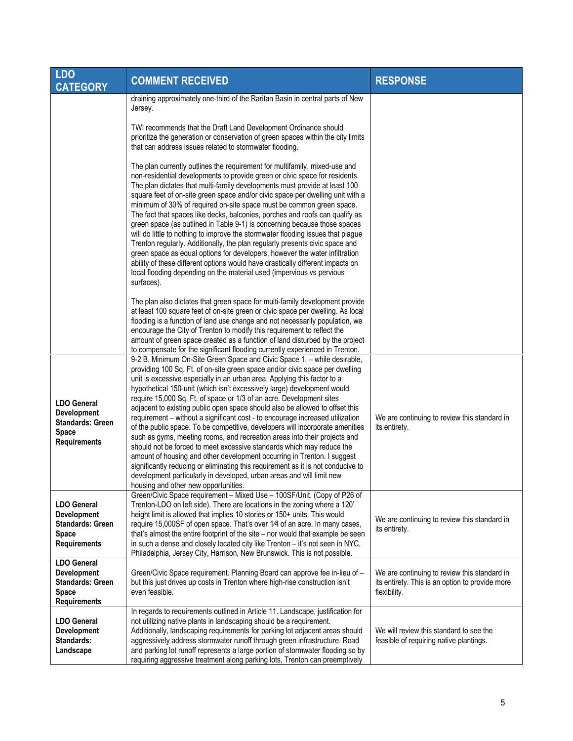| <b>LDO</b><br><b>CATEGORY</b>                                                                              | <b>COMMENT RECEIVED</b>                                                                                                                                                                                                                                                                                                                                                                                                                                                                                                                                                                                                                                                                                                                                                                                                                                                                                                                                                                                                                                                         | <b>RESPONSE</b>                                                                                                 |
|------------------------------------------------------------------------------------------------------------|---------------------------------------------------------------------------------------------------------------------------------------------------------------------------------------------------------------------------------------------------------------------------------------------------------------------------------------------------------------------------------------------------------------------------------------------------------------------------------------------------------------------------------------------------------------------------------------------------------------------------------------------------------------------------------------------------------------------------------------------------------------------------------------------------------------------------------------------------------------------------------------------------------------------------------------------------------------------------------------------------------------------------------------------------------------------------------|-----------------------------------------------------------------------------------------------------------------|
|                                                                                                            | draining approximately one-third of the Raritan Basin in central parts of New<br>Jersey.                                                                                                                                                                                                                                                                                                                                                                                                                                                                                                                                                                                                                                                                                                                                                                                                                                                                                                                                                                                        |                                                                                                                 |
|                                                                                                            | TWI recommends that the Draft Land Development Ordinance should<br>prioritize the generation or conservation of green spaces within the city limits<br>that can address issues related to stormwater flooding.                                                                                                                                                                                                                                                                                                                                                                                                                                                                                                                                                                                                                                                                                                                                                                                                                                                                  |                                                                                                                 |
|                                                                                                            | The plan currently outlines the requirement for multifamily, mixed-use and<br>non-residential developments to provide green or civic space for residents.<br>The plan dictates that multi-family developments must provide at least 100<br>square feet of on-site green space and/or civic space per dwelling unit with a<br>minimum of 30% of required on-site space must be common green space.<br>The fact that spaces like decks, balconies, porches and roofs can qualify as<br>green space (as outlined in Table 9-1) is concerning because those spaces<br>will do little to nothing to improve the stormwater flooding issues that plague<br>Trenton regularly. Additionally, the plan regularly presents civic space and<br>green space as equal options for developers, however the water infiltration<br>ability of these different options would have drastically different impacts on<br>local flooding depending on the material used (impervious vs pervious<br>surfaces).                                                                                       |                                                                                                                 |
|                                                                                                            | The plan also dictates that green space for multi-family development provide<br>at least 100 square feet of on-site green or civic space per dwelling. As local<br>flooding is a function of land use change and not necessarily population, we<br>encourage the City of Trenton to modify this requirement to reflect the<br>amount of green space created as a function of land disturbed by the project<br>to compensate for the significant flooding currently experienced in Trenton.                                                                                                                                                                                                                                                                                                                                                                                                                                                                                                                                                                                      |                                                                                                                 |
| <b>LDO General</b><br><b>Development</b><br><b>Standards: Green</b><br><b>Space</b><br><b>Requirements</b> | 9-2 B. Minimum On-Site Green Space and Civic Space 1. - while desirable,<br>providing 100 Sq. Ft. of on-site green space and/or civic space per dwelling<br>unit is excessive especially in an urban area. Applying this factor to a<br>hypothetical 150-unit (which isn't excessively large) development would<br>require 15,000 Sq. Ft. of space or 1/3 of an acre. Development sites<br>adjacent to existing public open space should also be allowed to offset this<br>requirement - without a significant cost - to encourage increased utilization<br>of the public space. To be competitive, developers will incorporate amenities<br>such as gyms, meeting rooms, and recreation areas into their projects and<br>should not be forced to meet excessive standards which may reduce the<br>amount of housing and other development occurring in Trenton. I suggest<br>significantly reducing or eliminating this requirement as it is not conducive to<br>development particularly in developed, urban areas and will limit new<br>housing and other new opportunities. | We are continuing to review this standard in<br>its entirety.                                                   |
| <b>LDO General</b><br><b>Development</b><br><b>Standards: Green</b><br><b>Space</b><br><b>Requirements</b> | Green/Civic Space requirement - Mixed Use - 100SF/Unit. (Copy of P26 of<br>Trenton-LDO on left side). There are locations in the zoning where a 120'<br>height limit is allowed that implies 10 stories or 150+ units. This would<br>require 15,000SF of open space. That's over 1/4 of an acre. In many cases,<br>that's almost the entire footprint of the site - nor would that example be seen<br>in such a dense and closely located city like Trenton - it's not seen in NYC,<br>Philadelphia, Jersey City, Harrison, New Brunswick. This is not possible.                                                                                                                                                                                                                                                                                                                                                                                                                                                                                                                | We are continuing to review this standard in<br>its entirety.                                                   |
| <b>LDO General</b><br><b>Development</b><br><b>Standards: Green</b><br><b>Space</b><br><b>Requirements</b> | Green/Civic Space requirement. Planning Board can approve fee in-lieu of -<br>but this just drives up costs in Trenton where high-rise construction isn't<br>even feasible.                                                                                                                                                                                                                                                                                                                                                                                                                                                                                                                                                                                                                                                                                                                                                                                                                                                                                                     | We are continuing to review this standard in<br>its entirety. This is an option to provide more<br>flexibility. |
| <b>LDO General</b><br><b>Development</b><br>Standards:<br>Landscape                                        | In regards to requirements outlined in Article 11. Landscape, justification for<br>not utilizing native plants in landscaping should be a requirement.<br>Additionally, landscaping requirements for parking lot adjacent areas should<br>aggressively address stormwater runoff through green infrastructure. Road<br>and parking lot runoff represents a large portion of stormwater flooding so by<br>requiring aggressive treatment along parking lots, Trenton can preemptively                                                                                                                                                                                                                                                                                                                                                                                                                                                                                                                                                                                            | We will review this standard to see the<br>feasible of requiring native plantings.                              |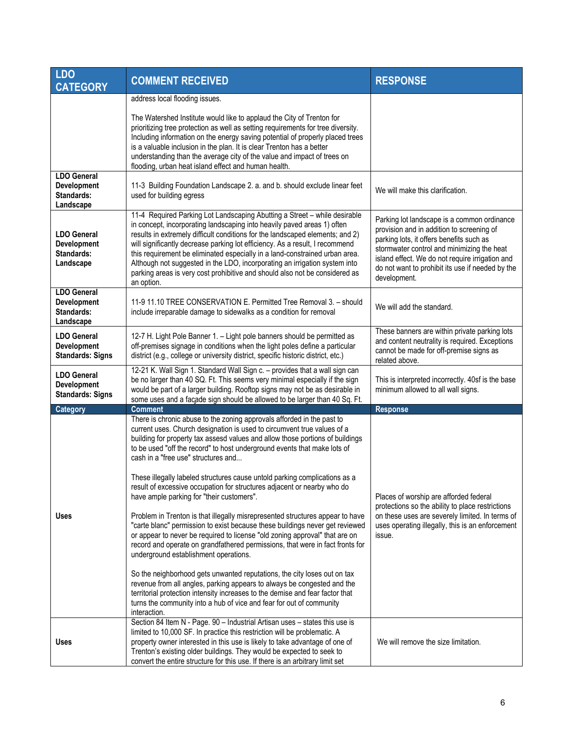| <b>LDO</b><br><b>CATEGORY</b>                                       | <b>COMMENT RECEIVED</b>                                                                                                                                                                                                                                                                                                                                                                                                                                                                                                                                                                                                                                                                                                                                                                                                                                                                                                                                                                                                                                                                                                                                                                                                                                               | <b>RESPONSE</b>                                                                                                                                                                                                                                                                                           |
|---------------------------------------------------------------------|-----------------------------------------------------------------------------------------------------------------------------------------------------------------------------------------------------------------------------------------------------------------------------------------------------------------------------------------------------------------------------------------------------------------------------------------------------------------------------------------------------------------------------------------------------------------------------------------------------------------------------------------------------------------------------------------------------------------------------------------------------------------------------------------------------------------------------------------------------------------------------------------------------------------------------------------------------------------------------------------------------------------------------------------------------------------------------------------------------------------------------------------------------------------------------------------------------------------------------------------------------------------------|-----------------------------------------------------------------------------------------------------------------------------------------------------------------------------------------------------------------------------------------------------------------------------------------------------------|
|                                                                     | address local flooding issues.                                                                                                                                                                                                                                                                                                                                                                                                                                                                                                                                                                                                                                                                                                                                                                                                                                                                                                                                                                                                                                                                                                                                                                                                                                        |                                                                                                                                                                                                                                                                                                           |
|                                                                     | The Watershed Institute would like to applaud the City of Trenton for<br>prioritizing tree protection as well as setting requirements for tree diversity.<br>Including information on the energy saving potential of properly placed trees<br>is a valuable inclusion in the plan. It is clear Trenton has a better<br>understanding than the average city of the value and impact of trees on<br>flooding, urban heat island effect and human health.                                                                                                                                                                                                                                                                                                                                                                                                                                                                                                                                                                                                                                                                                                                                                                                                                |                                                                                                                                                                                                                                                                                                           |
| <b>LDO General</b><br><b>Development</b><br>Standards:<br>Landscape | 11-3 Building Foundation Landscape 2. a. and b. should exclude linear feet<br>used for building egress                                                                                                                                                                                                                                                                                                                                                                                                                                                                                                                                                                                                                                                                                                                                                                                                                                                                                                                                                                                                                                                                                                                                                                | We will make this clarification.                                                                                                                                                                                                                                                                          |
| <b>LDO General</b><br><b>Development</b><br>Standards:<br>Landscape | 11-4 Required Parking Lot Landscaping Abutting a Street - while desirable<br>in concept, incorporating landscaping into heavily paved areas 1) often<br>results in extremely difficult conditions for the landscaped elements; and 2)<br>will significantly decrease parking lot efficiency. As a result, I recommend<br>this requirement be eliminated especially in a land-constrained urban area.<br>Although not suggested in the LDO, incorporating an irrigation system into<br>parking areas is very cost prohibitive and should also not be considered as<br>an option.                                                                                                                                                                                                                                                                                                                                                                                                                                                                                                                                                                                                                                                                                       | Parking lot landscape is a common ordinance<br>provision and in addition to screening of<br>parking lots, it offers benefits such as<br>stormwater control and minimizing the heat<br>island effect. We do not require irrigation and<br>do not want to prohibit its use if needed by the<br>development. |
| <b>LDO General</b><br>Development<br>Standards:<br>Landscape        | 11-9 11.10 TREE CONSERVATION E. Permitted Tree Removal 3. - should<br>include irreparable damage to sidewalks as a condition for removal                                                                                                                                                                                                                                                                                                                                                                                                                                                                                                                                                                                                                                                                                                                                                                                                                                                                                                                                                                                                                                                                                                                              | We will add the standard.                                                                                                                                                                                                                                                                                 |
| <b>LDO General</b><br><b>Development</b><br><b>Standards: Signs</b> | 12-7 H. Light Pole Banner 1. - Light pole banners should be permitted as<br>off-premises signage in conditions when the light poles define a particular<br>district (e.g., college or university district, specific historic district, etc.)                                                                                                                                                                                                                                                                                                                                                                                                                                                                                                                                                                                                                                                                                                                                                                                                                                                                                                                                                                                                                          | These banners are within private parking lots<br>and content neutrality is required. Exceptions<br>cannot be made for off-premise signs as<br>related above.                                                                                                                                              |
| <b>LDO General</b><br><b>Development</b><br><b>Standards: Signs</b> | 12-21 K. Wall Sign 1. Standard Wall Sign c. - provides that a wall sign can<br>be no larger than 40 SQ. Ft. This seems very minimal especially if the sign<br>would be part of a larger building. Rooftop signs may not be as desirable in<br>some uses and a facade sign should be allowed to be larger than 40 Sq. Ft.                                                                                                                                                                                                                                                                                                                                                                                                                                                                                                                                                                                                                                                                                                                                                                                                                                                                                                                                              | This is interpreted incorrectly. 40sf is the base<br>minimum allowed to all wall signs.                                                                                                                                                                                                                   |
| Category                                                            | <b>Comment</b>                                                                                                                                                                                                                                                                                                                                                                                                                                                                                                                                                                                                                                                                                                                                                                                                                                                                                                                                                                                                                                                                                                                                                                                                                                                        | <b>Response</b>                                                                                                                                                                                                                                                                                           |
| <b>Uses</b>                                                         | There is chronic abuse to the zoning approvals afforded in the past to<br>current uses. Church designation is used to circumvent true values of a<br>building for property tax assesd values and allow those portions of buildings<br>to be used "off the record" to host underground events that make lots of<br>cash in a "free use" structures and<br>These illegally labeled structures cause untold parking complications as a<br>result of excessive occupation for structures adjacent or nearby who do<br>have ample parking for "their customers".<br>Problem in Trenton is that illegally misrepresented structures appear to have<br>"carte blanc" permission to exist because these buildings never get reviewed<br>or appear to never be required to license "old zoning approval" that are on<br>record and operate on grandfathered permissions, that were in fact fronts for<br>underground establishment operations.<br>So the neighborhood gets unwanted reputations, the city loses out on tax<br>revenue from all angles, parking appears to always be congested and the<br>territorial protection intensity increases to the demise and fear factor that<br>turns the community into a hub of vice and fear for out of community<br>interaction. | Places of worship are afforded federal<br>protections so the ability to place restrictions<br>on these uses are severely limited. In terms of<br>uses operating illegally, this is an enforcement<br>issue.                                                                                               |
| <b>Uses</b>                                                         | Section 84 Item N - Page. 90 - Industrial Artisan uses - states this use is<br>limited to 10,000 SF. In practice this restriction will be problematic. A<br>property owner interested in this use is likely to take advantage of one of<br>Trenton's existing older buildings. They would be expected to seek to<br>convert the entire structure for this use. If there is an arbitrary limit set                                                                                                                                                                                                                                                                                                                                                                                                                                                                                                                                                                                                                                                                                                                                                                                                                                                                     | We will remove the size limitation.                                                                                                                                                                                                                                                                       |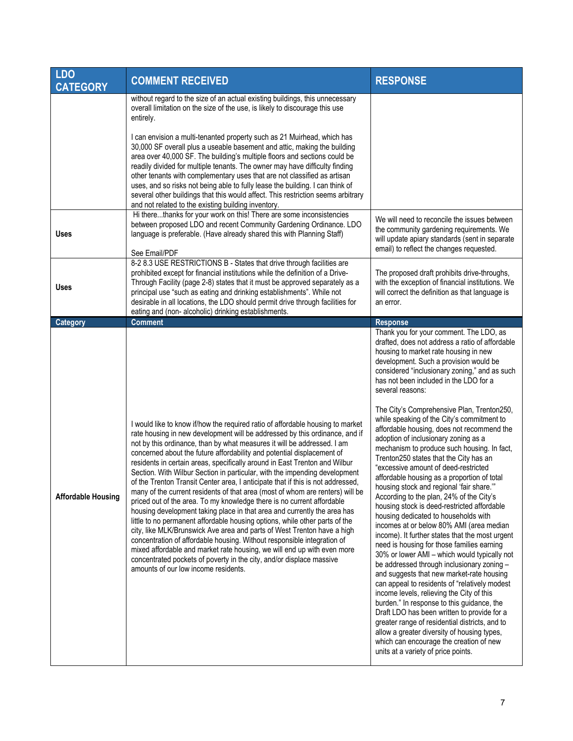| <b>LDO</b><br><b>CATEGORY</b> | <b>COMMENT RECEIVED</b>                                                                                                                                                                                                                                                                                                                                                                                                                                                                                                                                                                                                                                                                                                                                                                                                                                                                                                                                                                                                                                                                                                                                                                                                                  | <b>RESPONSE</b>                                                                                                                                                                                                                                                                                                                                                                                                                                                                                                                                                                                                                                                                                                                                                                                                                                                                                                                                                                                                                                                                                                                                                                                                                                                                                                                                                                                                                                                                                                     |
|-------------------------------|------------------------------------------------------------------------------------------------------------------------------------------------------------------------------------------------------------------------------------------------------------------------------------------------------------------------------------------------------------------------------------------------------------------------------------------------------------------------------------------------------------------------------------------------------------------------------------------------------------------------------------------------------------------------------------------------------------------------------------------------------------------------------------------------------------------------------------------------------------------------------------------------------------------------------------------------------------------------------------------------------------------------------------------------------------------------------------------------------------------------------------------------------------------------------------------------------------------------------------------|---------------------------------------------------------------------------------------------------------------------------------------------------------------------------------------------------------------------------------------------------------------------------------------------------------------------------------------------------------------------------------------------------------------------------------------------------------------------------------------------------------------------------------------------------------------------------------------------------------------------------------------------------------------------------------------------------------------------------------------------------------------------------------------------------------------------------------------------------------------------------------------------------------------------------------------------------------------------------------------------------------------------------------------------------------------------------------------------------------------------------------------------------------------------------------------------------------------------------------------------------------------------------------------------------------------------------------------------------------------------------------------------------------------------------------------------------------------------------------------------------------------------|
|                               | without regard to the size of an actual existing buildings, this unnecessary<br>overall limitation on the size of the use, is likely to discourage this use<br>entirely.                                                                                                                                                                                                                                                                                                                                                                                                                                                                                                                                                                                                                                                                                                                                                                                                                                                                                                                                                                                                                                                                 |                                                                                                                                                                                                                                                                                                                                                                                                                                                                                                                                                                                                                                                                                                                                                                                                                                                                                                                                                                                                                                                                                                                                                                                                                                                                                                                                                                                                                                                                                                                     |
| <b>Uses</b>                   | I can envision a multi-tenanted property such as 21 Muirhead, which has<br>30,000 SF overall plus a useable basement and attic, making the building<br>area over 40,000 SF. The building's multiple floors and sections could be<br>readily divided for multiple tenants. The owner may have difficulty finding<br>other tenants with complementary uses that are not classified as artisan<br>uses, and so risks not being able to fully lease the building. I can think of<br>several other buildings that this would affect. This restriction seems arbitrary<br>and not related to the existing building inventory.<br>Hi therethanks for your work on this! There are some inconsistencies<br>between proposed LDO and recent Community Gardening Ordinance. LDO<br>language is preferable. (Have already shared this with Planning Staff)                                                                                                                                                                                                                                                                                                                                                                                          | We will need to reconcile the issues between<br>the community gardening requirements. We<br>will update apiary standards (sent in separate<br>email) to reflect the changes requested.                                                                                                                                                                                                                                                                                                                                                                                                                                                                                                                                                                                                                                                                                                                                                                                                                                                                                                                                                                                                                                                                                                                                                                                                                                                                                                                              |
| <b>Uses</b>                   | See Email/PDF<br>8-2 8.3 USE RESTRICTIONS B - States that drive through facilities are<br>prohibited except for financial institutions while the definition of a Drive-<br>Through Facility (page 2-8) states that it must be approved separately as a<br>principal use "such as eating and drinking establishments". While not<br>desirable in all locations, the LDO should permit drive through facilities for<br>eating and (non- alcoholic) drinking establishments.                                                                                                                                                                                                                                                                                                                                                                                                                                                                                                                                                                                                                                                                                                                                                                | The proposed draft prohibits drive-throughs,<br>with the exception of financial institutions. We<br>will correct the definition as that language is<br>an error.                                                                                                                                                                                                                                                                                                                                                                                                                                                                                                                                                                                                                                                                                                                                                                                                                                                                                                                                                                                                                                                                                                                                                                                                                                                                                                                                                    |
| <b>Category</b>               | <b>Comment</b>                                                                                                                                                                                                                                                                                                                                                                                                                                                                                                                                                                                                                                                                                                                                                                                                                                                                                                                                                                                                                                                                                                                                                                                                                           | <b>Response</b>                                                                                                                                                                                                                                                                                                                                                                                                                                                                                                                                                                                                                                                                                                                                                                                                                                                                                                                                                                                                                                                                                                                                                                                                                                                                                                                                                                                                                                                                                                     |
| <b>Affordable Housing</b>     | I would like to know if/how the required ratio of affordable housing to market<br>rate housing in new development will be addressed by this ordinance, and if<br>not by this ordinance, than by what measures it will be addressed. I am<br>concerned about the future affordability and potential displacement of<br>residents in certain areas, specifically around in East Trenton and Wilbur<br>Section. With Wilbur Section in particular, with the impending development<br>of the Trenton Transit Center area, I anticipate that if this is not addressed,<br>many of the current residents of that area (most of whom are renters) will be<br>priced out of the area. To my knowledge there is no current affordable<br>housing development taking place in that area and currently the area has<br>little to no permanent affordable housing options, while other parts of the<br>city, like MLK/Brunswick Ave area and parts of West Trenton have a high<br>concentration of affordable housing. Without responsible integration of<br>mixed affordable and market rate housing, we will end up with even more<br>concentrated pockets of poverty in the city, and/or displace massive<br>amounts of our low income residents. | Thank you for your comment. The LDO, as<br>drafted, does not address a ratio of affordable<br>housing to market rate housing in new<br>development. Such a provision would be<br>considered "inclusionary zoning," and as such<br>has not been included in the LDO for a<br>several reasons:<br>The City's Comprehensive Plan, Trenton250,<br>while speaking of the City's commitment to<br>affordable housing, does not recommend the<br>adoption of inclusionary zoning as a<br>mechanism to produce such housing. In fact,<br>Trenton250 states that the City has an<br>"excessive amount of deed-restricted<br>affordable housing as a proportion of total<br>housing stock and regional 'fair share."<br>According to the plan, 24% of the City's<br>housing stock is deed-restricted affordable<br>housing dedicated to households with<br>incomes at or below 80% AMI (area median<br>income). It further states that the most urgent<br>need is housing for those families earning<br>30% or lower AMI - which would typically not<br>be addressed through inclusionary zoning -<br>and suggests that new market-rate housing<br>can appeal to residents of "relatively modest<br>income levels, relieving the City of this<br>burden." In response to this guidance, the<br>Draft LDO has been written to provide for a<br>greater range of residential districts, and to<br>allow a greater diversity of housing types,<br>which can encourage the creation of new<br>units at a variety of price points. |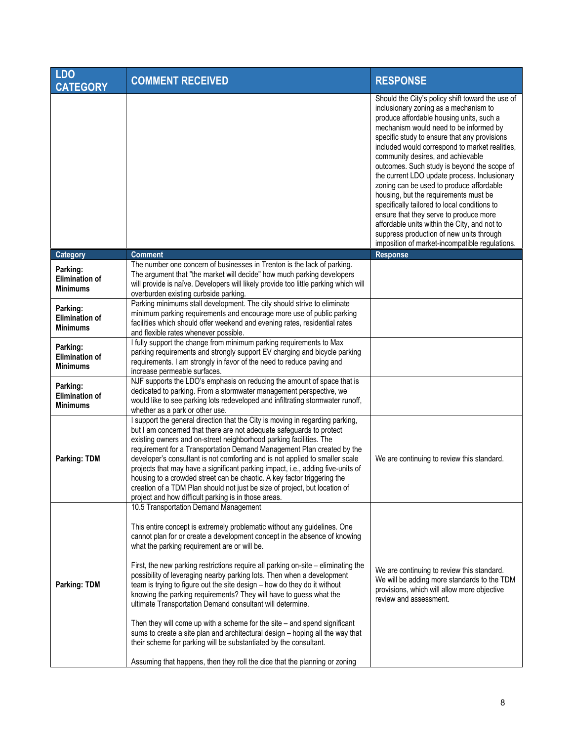| <b>LDO</b><br><b>CATEGORY</b>                        | <b>COMMENT RECEIVED</b>                                                                                                                                                                                                                                                                                                                                                                                                                                                                                                                                                                                                                                                                                                                                                                                                                                                                                | <b>RESPONSE</b>                                                                                                                                                                                                                                                                                                                                                                                                                                                                                                                                                                                                                                                                                                                                    |
|------------------------------------------------------|--------------------------------------------------------------------------------------------------------------------------------------------------------------------------------------------------------------------------------------------------------------------------------------------------------------------------------------------------------------------------------------------------------------------------------------------------------------------------------------------------------------------------------------------------------------------------------------------------------------------------------------------------------------------------------------------------------------------------------------------------------------------------------------------------------------------------------------------------------------------------------------------------------|----------------------------------------------------------------------------------------------------------------------------------------------------------------------------------------------------------------------------------------------------------------------------------------------------------------------------------------------------------------------------------------------------------------------------------------------------------------------------------------------------------------------------------------------------------------------------------------------------------------------------------------------------------------------------------------------------------------------------------------------------|
|                                                      |                                                                                                                                                                                                                                                                                                                                                                                                                                                                                                                                                                                                                                                                                                                                                                                                                                                                                                        | Should the City's policy shift toward the use of<br>inclusionary zoning as a mechanism to<br>produce affordable housing units, such a<br>mechanism would need to be informed by<br>specific study to ensure that any provisions<br>included would correspond to market realities,<br>community desires, and achievable<br>outcomes. Such study is beyond the scope of<br>the current LDO update process. Inclusionary<br>zoning can be used to produce affordable<br>housing, but the requirements must be<br>specifically tailored to local conditions to<br>ensure that they serve to produce more<br>affordable units within the City, and not to<br>suppress production of new units through<br>imposition of market-incompatible regulations. |
| <b>Category</b>                                      | <b>Comment</b>                                                                                                                                                                                                                                                                                                                                                                                                                                                                                                                                                                                                                                                                                                                                                                                                                                                                                         | <b>Response</b>                                                                                                                                                                                                                                                                                                                                                                                                                                                                                                                                                                                                                                                                                                                                    |
| Parking:<br><b>Elimination of</b><br><b>Minimums</b> | The number one concern of businesses in Trenton is the lack of parking.<br>The argument that "the market will decide" how much parking developers<br>will provide is naïve. Developers will likely provide too little parking which will<br>overburden existing curbside parking.                                                                                                                                                                                                                                                                                                                                                                                                                                                                                                                                                                                                                      |                                                                                                                                                                                                                                                                                                                                                                                                                                                                                                                                                                                                                                                                                                                                                    |
| Parking:<br><b>Elimination of</b><br><b>Minimums</b> | Parking minimums stall development. The city should strive to eliminate<br>minimum parking requirements and encourage more use of public parking<br>facilities which should offer weekend and evening rates, residential rates<br>and flexible rates whenever possible.                                                                                                                                                                                                                                                                                                                                                                                                                                                                                                                                                                                                                                |                                                                                                                                                                                                                                                                                                                                                                                                                                                                                                                                                                                                                                                                                                                                                    |
| Parking:<br><b>Elimination of</b><br><b>Minimums</b> | I fully support the change from minimum parking requirements to Max<br>parking requirements and strongly support EV charging and bicycle parking<br>requirements. I am strongly in favor of the need to reduce paving and<br>increase permeable surfaces.                                                                                                                                                                                                                                                                                                                                                                                                                                                                                                                                                                                                                                              |                                                                                                                                                                                                                                                                                                                                                                                                                                                                                                                                                                                                                                                                                                                                                    |
| Parking:<br><b>Elimination of</b><br><b>Minimums</b> | NJF supports the LDO's emphasis on reducing the amount of space that is<br>dedicated to parking. From a stormwater management perspective, we<br>would like to see parking lots redeveloped and infiltrating stormwater runoff,<br>whether as a park or other use.                                                                                                                                                                                                                                                                                                                                                                                                                                                                                                                                                                                                                                     |                                                                                                                                                                                                                                                                                                                                                                                                                                                                                                                                                                                                                                                                                                                                                    |
| Parking: TDM                                         | I support the general direction that the City is moving in regarding parking,<br>but I am concerned that there are not adequate safeguards to protect<br>existing owners and on-street neighborhood parking facilities. The<br>requirement for a Transportation Demand Management Plan created by the<br>developer's consultant is not comforting and is not applied to smaller scale<br>projects that may have a significant parking impact, i.e., adding five-units of<br>housing to a crowded street can be chaotic. A key factor triggering the<br>creation of a TDM Plan should not just be size of project, but location of<br>project and how difficult parking is in those areas.                                                                                                                                                                                                              | We are continuing to review this standard.                                                                                                                                                                                                                                                                                                                                                                                                                                                                                                                                                                                                                                                                                                         |
|                                                      | 10.5 Transportation Demand Management                                                                                                                                                                                                                                                                                                                                                                                                                                                                                                                                                                                                                                                                                                                                                                                                                                                                  |                                                                                                                                                                                                                                                                                                                                                                                                                                                                                                                                                                                                                                                                                                                                                    |
| Parking: TDM                                         | This entire concept is extremely problematic without any guidelines. One<br>cannot plan for or create a development concept in the absence of knowing<br>what the parking requirement are or will be.<br>First, the new parking restrictions require all parking on-site - eliminating the<br>possibility of leveraging nearby parking lots. Then when a development<br>team is trying to figure out the site design - how do they do it without<br>knowing the parking requirements? They will have to guess what the<br>ultimate Transportation Demand consultant will determine.<br>Then they will come up with a scheme for the site $-$ and spend significant<br>sums to create a site plan and architectural design - hoping all the way that<br>their scheme for parking will be substantiated by the consultant.<br>Assuming that happens, then they roll the dice that the planning or zoning | We are continuing to review this standard.<br>We will be adding more standards to the TDM<br>provisions, which will allow more objective<br>review and assessment.                                                                                                                                                                                                                                                                                                                                                                                                                                                                                                                                                                                 |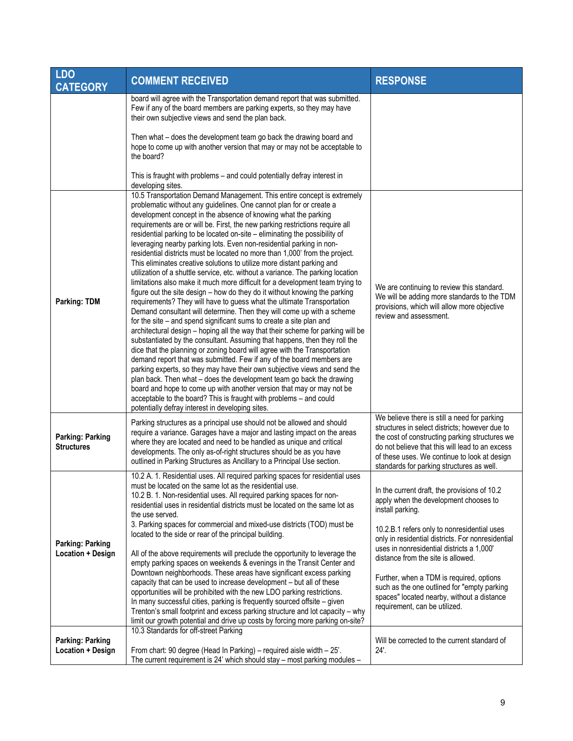| <b>LDO</b><br><b>CATEGORY</b>                       | <b>COMMENT RECEIVED</b>                                                                                                                                                                                                                                                                                                                                                                                                                                                                                                                                                                                                                                                                                                                                                                                                                                                                                                                                                                                                                                                                                                                                                                                                                                                                                                                                                                                                                                                                                                                                                                                                                                                                                                                                                     | <b>RESPONSE</b>                                                                                                                                                                                                                                                                                                                                               |
|-----------------------------------------------------|-----------------------------------------------------------------------------------------------------------------------------------------------------------------------------------------------------------------------------------------------------------------------------------------------------------------------------------------------------------------------------------------------------------------------------------------------------------------------------------------------------------------------------------------------------------------------------------------------------------------------------------------------------------------------------------------------------------------------------------------------------------------------------------------------------------------------------------------------------------------------------------------------------------------------------------------------------------------------------------------------------------------------------------------------------------------------------------------------------------------------------------------------------------------------------------------------------------------------------------------------------------------------------------------------------------------------------------------------------------------------------------------------------------------------------------------------------------------------------------------------------------------------------------------------------------------------------------------------------------------------------------------------------------------------------------------------------------------------------------------------------------------------------|---------------------------------------------------------------------------------------------------------------------------------------------------------------------------------------------------------------------------------------------------------------------------------------------------------------------------------------------------------------|
|                                                     | board will agree with the Transportation demand report that was submitted.<br>Few if any of the board members are parking experts, so they may have<br>their own subjective views and send the plan back.                                                                                                                                                                                                                                                                                                                                                                                                                                                                                                                                                                                                                                                                                                                                                                                                                                                                                                                                                                                                                                                                                                                                                                                                                                                                                                                                                                                                                                                                                                                                                                   |                                                                                                                                                                                                                                                                                                                                                               |
|                                                     | Then what - does the development team go back the drawing board and<br>hope to come up with another version that may or may not be acceptable to<br>the board?                                                                                                                                                                                                                                                                                                                                                                                                                                                                                                                                                                                                                                                                                                                                                                                                                                                                                                                                                                                                                                                                                                                                                                                                                                                                                                                                                                                                                                                                                                                                                                                                              |                                                                                                                                                                                                                                                                                                                                                               |
|                                                     | This is fraught with problems - and could potentially defray interest in<br>developing sites.                                                                                                                                                                                                                                                                                                                                                                                                                                                                                                                                                                                                                                                                                                                                                                                                                                                                                                                                                                                                                                                                                                                                                                                                                                                                                                                                                                                                                                                                                                                                                                                                                                                                               |                                                                                                                                                                                                                                                                                                                                                               |
| <b>Parking: TDM</b>                                 | 10.5 Transportation Demand Management. This entire concept is extremely<br>problematic without any guidelines. One cannot plan for or create a<br>development concept in the absence of knowing what the parking<br>requirements are or will be. First, the new parking restrictions require all<br>residential parking to be located on-site - eliminating the possibility of<br>leveraging nearby parking lots. Even non-residential parking in non-<br>residential districts must be located no more than 1,000' from the project.<br>This eliminates creative solutions to utilize more distant parking and<br>utilization of a shuttle service, etc. without a variance. The parking location<br>limitations also make it much more difficult for a development team trying to<br>figure out the site design - how do they do it without knowing the parking<br>requirements? They will have to guess what the ultimate Transportation<br>Demand consultant will determine. Then they will come up with a scheme<br>for the site – and spend significant sums to create a site plan and<br>architectural design - hoping all the way that their scheme for parking will be<br>substantiated by the consultant. Assuming that happens, then they roll the<br>dice that the planning or zoning board will agree with the Transportation<br>demand report that was submitted. Few if any of the board members are<br>parking experts, so they may have their own subjective views and send the<br>plan back. Then what - does the development team go back the drawing<br>board and hope to come up with another version that may or may not be<br>acceptable to the board? This is fraught with problems - and could<br>potentially defray interest in developing sites. | We are continuing to review this standard.<br>We will be adding more standards to the TDM<br>provisions, which will allow more objective<br>review and assessment.                                                                                                                                                                                            |
| <b>Parking: Parking</b><br><b>Structures</b>        | Parking structures as a principal use should not be allowed and should<br>require a variance. Garages have a major and lasting impact on the areas<br>where they are located and need to be handled as unique and critical<br>developments. The only as-of-right structures should be as you have<br>outlined in Parking Structures as Ancillary to a Principal Use section.                                                                                                                                                                                                                                                                                                                                                                                                                                                                                                                                                                                                                                                                                                                                                                                                                                                                                                                                                                                                                                                                                                                                                                                                                                                                                                                                                                                                | We believe there is still a need for parking<br>structures in select districts: however due to<br>the cost of constructing parking structures we<br>do not believe that this will lead to an excess<br>of these uses. We continue to look at design<br>standards for parking structures as well.                                                              |
| <b>Parking: Parking</b><br><b>Location + Design</b> | 10.2 A. 1. Residential uses. All required parking spaces for residential uses<br>must be located on the same lot as the residential use.<br>10.2 B. 1. Non-residential uses. All required parking spaces for non-<br>residential uses in residential districts must be located on the same lot as<br>the use served.                                                                                                                                                                                                                                                                                                                                                                                                                                                                                                                                                                                                                                                                                                                                                                                                                                                                                                                                                                                                                                                                                                                                                                                                                                                                                                                                                                                                                                                        | In the current draft, the provisions of 10.2<br>apply when the development chooses to<br>install parking.                                                                                                                                                                                                                                                     |
|                                                     | 3. Parking spaces for commercial and mixed-use districts (TOD) must be<br>located to the side or rear of the principal building.<br>All of the above requirements will preclude the opportunity to leverage the<br>empty parking spaces on weekends & evenings in the Transit Center and<br>Downtown neighborhoods. These areas have significant excess parking<br>capacity that can be used to increase development - but all of these<br>opportunities will be prohibited with the new LDO parking restrictions.<br>In many successful cities, parking is frequently sourced offsite - given<br>Trenton's small footprint and excess parking structure and lot capacity - why                                                                                                                                                                                                                                                                                                                                                                                                                                                                                                                                                                                                                                                                                                                                                                                                                                                                                                                                                                                                                                                                                             | 10.2.B.1 refers only to nonresidential uses<br>only in residential districts. For nonresidential<br>uses in nonresidential districts a 1,000'<br>distance from the site is allowed.<br>Further, when a TDM is required, options<br>such as the one outlined for "empty parking<br>spaces" located nearby, without a distance<br>requirement, can be utilized. |
|                                                     | limit our growth potential and drive up costs by forcing more parking on-site?<br>10.3 Standards for off-street Parking                                                                                                                                                                                                                                                                                                                                                                                                                                                                                                                                                                                                                                                                                                                                                                                                                                                                                                                                                                                                                                                                                                                                                                                                                                                                                                                                                                                                                                                                                                                                                                                                                                                     |                                                                                                                                                                                                                                                                                                                                                               |
| <b>Parking: Parking</b><br>Location + Design        | From chart: 90 degree (Head In Parking) - required aisle width - 25'.<br>The current requirement is 24' which should stay - most parking modules -                                                                                                                                                                                                                                                                                                                                                                                                                                                                                                                                                                                                                                                                                                                                                                                                                                                                                                                                                                                                                                                                                                                                                                                                                                                                                                                                                                                                                                                                                                                                                                                                                          | Will be corrected to the current standard of<br>24'.                                                                                                                                                                                                                                                                                                          |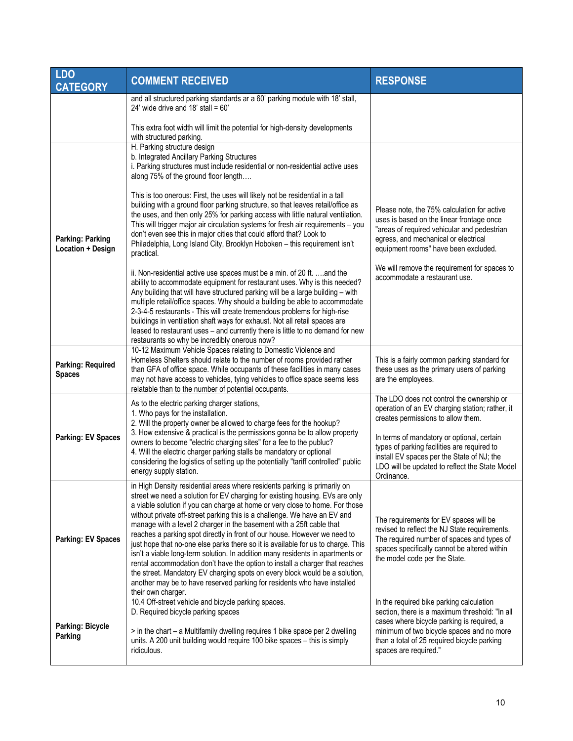| <b>LDO</b><br><b>CATEGORY</b>                | <b>COMMENT RECEIVED</b>                                                                                                                                                                                                                                                                                                                                                                                                                                                                                                                                                                                                                                                                                                                                                                                                                                                                                                                                                                                                                                                                                                                                                                                                                                                                                                              | <b>RESPONSE</b>                                                                                                                                                                                                                                                                                                                               |
|----------------------------------------------|--------------------------------------------------------------------------------------------------------------------------------------------------------------------------------------------------------------------------------------------------------------------------------------------------------------------------------------------------------------------------------------------------------------------------------------------------------------------------------------------------------------------------------------------------------------------------------------------------------------------------------------------------------------------------------------------------------------------------------------------------------------------------------------------------------------------------------------------------------------------------------------------------------------------------------------------------------------------------------------------------------------------------------------------------------------------------------------------------------------------------------------------------------------------------------------------------------------------------------------------------------------------------------------------------------------------------------------|-----------------------------------------------------------------------------------------------------------------------------------------------------------------------------------------------------------------------------------------------------------------------------------------------------------------------------------------------|
|                                              | and all structured parking standards ar a 60' parking module with 18' stall,<br>24' wide drive and $18'$ stall = $60'$                                                                                                                                                                                                                                                                                                                                                                                                                                                                                                                                                                                                                                                                                                                                                                                                                                                                                                                                                                                                                                                                                                                                                                                                               |                                                                                                                                                                                                                                                                                                                                               |
|                                              | This extra foot width will limit the potential for high-density developments<br>with structured parking.                                                                                                                                                                                                                                                                                                                                                                                                                                                                                                                                                                                                                                                                                                                                                                                                                                                                                                                                                                                                                                                                                                                                                                                                                             |                                                                                                                                                                                                                                                                                                                                               |
| <b>Parking: Parking</b><br>Location + Design | H. Parking structure design<br>b. Integrated Ancillary Parking Structures<br>i. Parking structures must include residential or non-residential active uses<br>along 75% of the ground floor length<br>This is too onerous: First, the uses will likely not be residential in a tall<br>building with a ground floor parking structure, so that leaves retail/office as<br>the uses, and then only 25% for parking access with little natural ventilation.<br>This will trigger major air circulation systems for fresh air requirements - you<br>don't even see this in major cities that could afford that? Look to<br>Philadelphia, Long Island City, Brooklyn Hoboken - this requirement isn't<br>practical.<br>ii. Non-residential active use spaces must be a min. of 20 ft. and the<br>ability to accommodate equipment for restaurant uses. Why is this needed?<br>Any building that will have structured parking will be a large building - with<br>multiple retail/office spaces. Why should a building be able to accommodate<br>2-3-4-5 restaurants - This will create tremendous problems for high-rise<br>buildings in ventilation shaft ways for exhaust. Not all retail spaces are<br>leased to restaurant uses - and currently there is little to no demand for new<br>restaurants so why be incredibly onerous now? | Please note, the 75% calculation for active<br>uses is based on the linear frontage once<br>"areas of required vehicular and pedestrian<br>egress, and mechanical or electrical<br>equipment rooms" have been excluded.<br>We will remove the requirement for spaces to<br>accommodate a restaurant use.                                      |
| <b>Parking: Required</b><br><b>Spaces</b>    | 10-12 Maximum Vehicle Spaces relating to Domestic Violence and<br>Homeless Shelters should relate to the number of rooms provided rather<br>than GFA of office space. While occupants of these facilities in many cases<br>may not have access to vehicles, tying vehicles to office space seems less<br>relatable than to the number of potential occupants.                                                                                                                                                                                                                                                                                                                                                                                                                                                                                                                                                                                                                                                                                                                                                                                                                                                                                                                                                                        | This is a fairly common parking standard for<br>these uses as the primary users of parking<br>are the employees.                                                                                                                                                                                                                              |
| <b>Parking: EV Spaces</b>                    | As to the electric parking charger stations,<br>1. Who pays for the installation.<br>2. Will the property owner be allowed to charge fees for the hookup?<br>3. How extensive & practical is the permissions gonna be to allow property<br>owners to become "electric charging sites" for a fee to the publuc?<br>4. Will the electric charger parking stalls be mandatory or optional<br>considering the logistics of setting up the potentially "tariff controlled" public<br>energy supply station.                                                                                                                                                                                                                                                                                                                                                                                                                                                                                                                                                                                                                                                                                                                                                                                                                               | The LDO does not control the ownership or<br>operation of an EV charging station; rather, it<br>creates permissions to allow them.<br>In terms of mandatory or optional, certain<br>types of parking facilities are required to<br>install EV spaces per the State of NJ; the<br>LDO will be updated to reflect the State Model<br>Ordinance. |
| <b>Parking: EV Spaces</b>                    | in High Density residential areas where residents parking is primarily on<br>street we need a solution for EV charging for existing housing. EVs are only<br>a viable solution if you can charge at home or very close to home. For those<br>without private off-street parking this is a challenge. We have an EV and<br>manage with a level 2 charger in the basement with a 25ft cable that<br>reaches a parking spot directly in front of our house. However we need to<br>just hope that no-one else parks there so it is available for us to charge. This<br>isn't a viable long-term solution. In addition many residents in apartments or<br>rental accommodation don't have the option to install a charger that reaches<br>the street. Mandatory EV charging spots on every block would be a solution,<br>another may be to have reserved parking for residents who have installed<br>their own charger.                                                                                                                                                                                                                                                                                                                                                                                                                   | The requirements for EV spaces will be<br>revised to reflect the NJ State requirements.<br>The required number of spaces and types of<br>spaces specifically cannot be altered within<br>the model code per the State.                                                                                                                        |
| <b>Parking: Bicycle</b><br>Parking           | 10.4 Off-street vehicle and bicycle parking spaces.<br>D. Required bicycle parking spaces<br>> in the chart - a Multifamily dwelling requires 1 bike space per 2 dwelling<br>units. A 200 unit building would require 100 bike spaces - this is simply<br>ridiculous.                                                                                                                                                                                                                                                                                                                                                                                                                                                                                                                                                                                                                                                                                                                                                                                                                                                                                                                                                                                                                                                                | In the required bike parking calculation<br>section, there is a maximum threshold: "In all<br>cases where bicycle parking is required, a<br>minimum of two bicycle spaces and no more<br>than a total of 25 required bicycle parking<br>spaces are required."                                                                                 |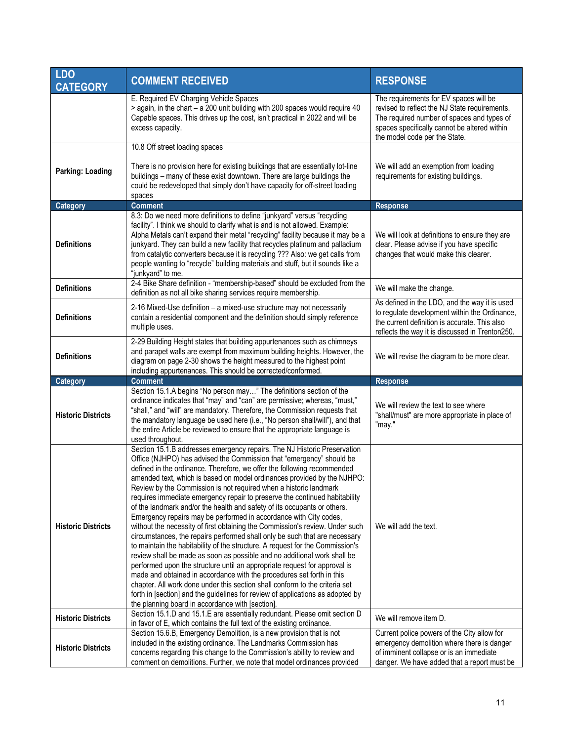| <b>LDO</b><br><b>CATEGORY</b> | <b>COMMENT RECEIVED</b>                                                                                                                                                                                                                                                                                                                                                                                                                                                                                                                                                                                                                                                                                                                                                                                                                                                                                                                                                                                                                                                                                                                                                                                                                                                                                         | <b>RESPONSE</b>                                                                                                                                                                                                        |
|-------------------------------|-----------------------------------------------------------------------------------------------------------------------------------------------------------------------------------------------------------------------------------------------------------------------------------------------------------------------------------------------------------------------------------------------------------------------------------------------------------------------------------------------------------------------------------------------------------------------------------------------------------------------------------------------------------------------------------------------------------------------------------------------------------------------------------------------------------------------------------------------------------------------------------------------------------------------------------------------------------------------------------------------------------------------------------------------------------------------------------------------------------------------------------------------------------------------------------------------------------------------------------------------------------------------------------------------------------------|------------------------------------------------------------------------------------------------------------------------------------------------------------------------------------------------------------------------|
|                               | E. Required EV Charging Vehicle Spaces<br>> again, in the chart - a 200 unit building with 200 spaces would require 40<br>Capable spaces. This drives up the cost, isn't practical in 2022 and will be<br>excess capacity.                                                                                                                                                                                                                                                                                                                                                                                                                                                                                                                                                                                                                                                                                                                                                                                                                                                                                                                                                                                                                                                                                      | The requirements for EV spaces will be<br>revised to reflect the NJ State requirements.<br>The required number of spaces and types of<br>spaces specifically cannot be altered within<br>the model code per the State. |
|                               | 10.8 Off street loading spaces                                                                                                                                                                                                                                                                                                                                                                                                                                                                                                                                                                                                                                                                                                                                                                                                                                                                                                                                                                                                                                                                                                                                                                                                                                                                                  |                                                                                                                                                                                                                        |
| <b>Parking: Loading</b>       | There is no provision here for existing buildings that are essentially lot-line<br>buildings - many of these exist downtown. There are large buildings the<br>could be redeveloped that simply don't have capacity for off-street loading<br>spaces                                                                                                                                                                                                                                                                                                                                                                                                                                                                                                                                                                                                                                                                                                                                                                                                                                                                                                                                                                                                                                                             | We will add an exemption from loading<br>requirements for existing buildings.                                                                                                                                          |
| Category                      | <b>Comment</b>                                                                                                                                                                                                                                                                                                                                                                                                                                                                                                                                                                                                                                                                                                                                                                                                                                                                                                                                                                                                                                                                                                                                                                                                                                                                                                  | <b>Response</b>                                                                                                                                                                                                        |
| <b>Definitions</b>            | 8.3: Do we need more definitions to define "junkyard" versus "recycling<br>facility". I think we should to clarify what is and is not allowed. Example:<br>Alpha Metals can't expand their metal "recycling" facility because it may be a<br>junkyard. They can build a new facility that recycles platinum and palladium<br>from catalytic converters because it is recycling ??? Also: we get calls from<br>people wanting to "recycle" building materials and stuff, but it sounds like a<br>"junkyard" to me.                                                                                                                                                                                                                                                                                                                                                                                                                                                                                                                                                                                                                                                                                                                                                                                               | We will look at definitions to ensure they are<br>clear. Please advise if you have specific<br>changes that would make this clearer.                                                                                   |
| <b>Definitions</b>            | 2-4 Bike Share definition - "membership-based" should be excluded from the<br>definition as not all bike sharing services require membership.                                                                                                                                                                                                                                                                                                                                                                                                                                                                                                                                                                                                                                                                                                                                                                                                                                                                                                                                                                                                                                                                                                                                                                   | We will make the change.                                                                                                                                                                                               |
| <b>Definitions</b>            | 2-16 Mixed-Use definition - a mixed-use structure may not necessarily<br>contain a residential component and the definition should simply reference<br>multiple uses.                                                                                                                                                                                                                                                                                                                                                                                                                                                                                                                                                                                                                                                                                                                                                                                                                                                                                                                                                                                                                                                                                                                                           | As defined in the LDO, and the way it is used<br>to regulate development within the Ordinance,<br>the current definition is accurate. This also<br>reflects the way it is discussed in Trenton250.                     |
| <b>Definitions</b>            | 2-29 Building Height states that building appurtenances such as chimneys<br>and parapet walls are exempt from maximum building heights. However, the<br>diagram on page 2-30 shows the height measured to the highest point<br>including appurtenances. This should be corrected/conformed.                                                                                                                                                                                                                                                                                                                                                                                                                                                                                                                                                                                                                                                                                                                                                                                                                                                                                                                                                                                                                     | We will revise the diagram to be more clear.                                                                                                                                                                           |
| Category                      | <b>Comment</b>                                                                                                                                                                                                                                                                                                                                                                                                                                                                                                                                                                                                                                                                                                                                                                                                                                                                                                                                                                                                                                                                                                                                                                                                                                                                                                  | <b>Response</b>                                                                                                                                                                                                        |
| <b>Historic Districts</b>     | Section 15.1.A begins "No person may" The definitions section of the<br>ordinance indicates that "may" and "can" are permissive; whereas, "must,"<br>"shall," and "will" are mandatory. Therefore, the Commission requests that<br>the mandatory language be used here (i.e., "No person shall/will"), and that<br>the entire Article be reviewed to ensure that the appropriate language is<br>used throughout.                                                                                                                                                                                                                                                                                                                                                                                                                                                                                                                                                                                                                                                                                                                                                                                                                                                                                                | We will review the text to see where<br>"shall/must" are more appropriate in place of<br>"may."                                                                                                                        |
| <b>Historic Districts</b>     | Section 15.1.B addresses emergency repairs. The NJ Historic Preservation<br>Office (NJHPO) has advised the Commission that "emergency" should be<br>defined in the ordinance. Therefore, we offer the following recommended<br>amended text, which is based on model ordinances provided by the NJHPO:<br>Review by the Commission is not required when a historic landmark<br>requires immediate emergency repair to preserve the continued habitability<br>of the landmark and/or the health and safety of its occupants or others.<br>Emergency repairs may be performed in accordance with City codes,<br>without the necessity of first obtaining the Commission's review. Under such<br>circumstances, the repairs performed shall only be such that are necessary<br>to maintain the habitability of the structure. A request for the Commission's<br>review shall be made as soon as possible and no additional work shall be<br>performed upon the structure until an appropriate request for approval is<br>made and obtained in accordance with the procedures set forth in this<br>chapter. All work done under this section shall conform to the criteria set<br>forth in [section] and the guidelines for review of applications as adopted by<br>the planning board in accordance with [section] | We will add the text.                                                                                                                                                                                                  |
| <b>Historic Districts</b>     | Section 15.1.D and 15.1.E are essentially redundant. Please omit section D<br>in favor of E, which contains the full text of the existing ordinance.                                                                                                                                                                                                                                                                                                                                                                                                                                                                                                                                                                                                                                                                                                                                                                                                                                                                                                                                                                                                                                                                                                                                                            | We will remove item D.                                                                                                                                                                                                 |
| <b>Historic Districts</b>     | Section 15.6.B, Emergency Demolition, is a new provision that is not<br>included in the existing ordinance. The Landmarks Commission has<br>concerns regarding this change to the Commission's ability to review and<br>comment on demolitions. Further, we note that model ordinances provided                                                                                                                                                                                                                                                                                                                                                                                                                                                                                                                                                                                                                                                                                                                                                                                                                                                                                                                                                                                                                 | Current police powers of the City allow for<br>emergency demolition where there is danger<br>of imminent collapse or is an immediate<br>danger. We have added that a report must be                                    |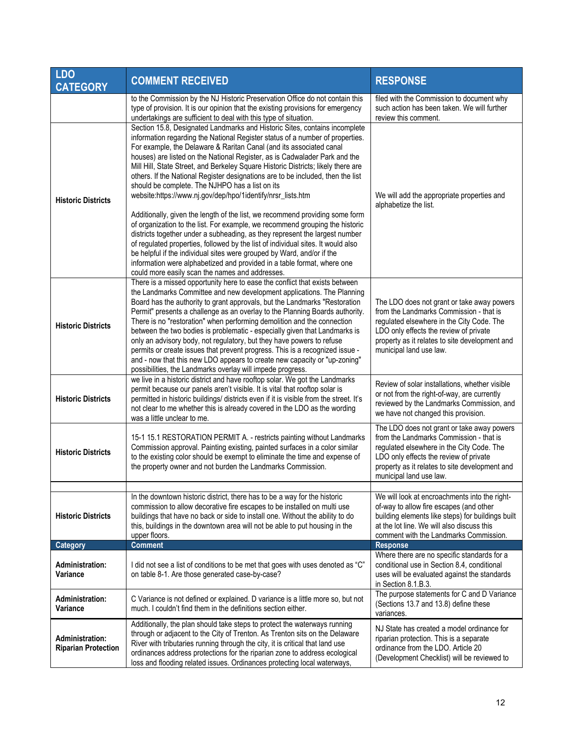| <b>LDO</b><br><b>CATEGORY</b>                        | <b>COMMENT RECEIVED</b>                                                                                                                                                                                                                                                                                                                                                                                                                                                                                                                                                                                                                                                                                                                                                          | <b>RESPONSE</b>                                                                                                                                                                                                                                           |
|------------------------------------------------------|----------------------------------------------------------------------------------------------------------------------------------------------------------------------------------------------------------------------------------------------------------------------------------------------------------------------------------------------------------------------------------------------------------------------------------------------------------------------------------------------------------------------------------------------------------------------------------------------------------------------------------------------------------------------------------------------------------------------------------------------------------------------------------|-----------------------------------------------------------------------------------------------------------------------------------------------------------------------------------------------------------------------------------------------------------|
|                                                      | to the Commission by the NJ Historic Preservation Office do not contain this<br>type of provision. It is our opinion that the existing provisions for emergency<br>undertakings are sufficient to deal with this type of situation.                                                                                                                                                                                                                                                                                                                                                                                                                                                                                                                                              | filed with the Commission to document why<br>such action has been taken. We will further<br>review this comment.                                                                                                                                          |
| <b>Historic Districts</b>                            | Section 15.8, Designated Landmarks and Historic Sites, contains incomplete<br>information regarding the National Register status of a number of properties.<br>For example, the Delaware & Raritan Canal (and its associated canal<br>houses) are listed on the National Register, as is Cadwalader Park and the<br>Mill Hill, State Street, and Berkeley Square Historic Districts; likely there are<br>others. If the National Register designations are to be included, then the list<br>should be complete. The NJHPO has a list on its<br>website:https://www.nj.gov/dep/hpo/1identify/nrsr_lists.htm<br>Additionally, given the length of the list, we recommend providing some form<br>of organization to the list. For example, we recommend grouping the historic       | We will add the appropriate properties and<br>alphabetize the list.                                                                                                                                                                                       |
|                                                      | districts together under a subheading, as they represent the largest number<br>of regulated properties, followed by the list of individual sites. It would also<br>be helpful if the individual sites were grouped by Ward, and/or if the<br>information were alphabetized and provided in a table format, where one<br>could more easily scan the names and addresses.                                                                                                                                                                                                                                                                                                                                                                                                          |                                                                                                                                                                                                                                                           |
| <b>Historic Districts</b>                            | There is a missed opportunity here to ease the conflict that exists between<br>the Landmarks Committee and new development applications. The Planning<br>Board has the authority to grant approvals, but the Landmarks "Restoration<br>Permit" presents a challenge as an overlay to the Planning Boards authority.<br>There is no "restoration" when performing demolition and the connection<br>between the two bodies is problematic - especially given that Landmarks is<br>only an advisory body, not regulatory, but they have powers to refuse<br>permits or create issues that prevent progress. This is a recognized issue -<br>and - now that this new LDO appears to create new capacity or "up-zoning"<br>possibilities, the Landmarks overlay will impede progress. | The LDO does not grant or take away powers<br>from the Landmarks Commission - that is<br>regulated elsewhere in the City Code. The<br>LDO only effects the review of private<br>property as it relates to site development and<br>municipal land use law. |
| <b>Historic Districts</b>                            | we live in a historic district and have rooftop solar. We got the Landmarks<br>permit because our panels aren't visible. It is vital that rooftop solar is<br>permitted in historic buildings/ districts even if it is visible from the street. It's<br>not clear to me whether this is already covered in the LDO as the wording<br>was a little unclear to me.                                                                                                                                                                                                                                                                                                                                                                                                                 | Review of solar installations, whether visible<br>or not from the right-of-way, are currently<br>reviewed by the Landmarks Commission, and<br>we have not changed this provision.                                                                         |
| <b>Historic Districts</b>                            | 15-1 15.1 RESTORATION PERMIT A. - restricts painting without Landmarks<br>Commission approval. Painting existing, painted surfaces in a color similar<br>to the existing color should be exempt to eliminate the time and expense of<br>the property owner and not burden the Landmarks Commission.                                                                                                                                                                                                                                                                                                                                                                                                                                                                              | The LDO does not grant or take away powers<br>from the Landmarks Commission - that is<br>regulated elsewhere in the City Code. The<br>LDO only effects the review of private<br>property as it relates to site development and<br>municipal land use law. |
| <b>Historic Districts</b>                            | In the downtown historic district, there has to be a way for the historic<br>commission to allow decorative fire escapes to be installed on multi use<br>buildings that have no back or side to install one. Without the ability to do<br>this, buildings in the downtown area will not be able to put housing in the<br>upper floors.                                                                                                                                                                                                                                                                                                                                                                                                                                           | We will look at encroachments into the right-<br>of-way to allow fire escapes (and other<br>building elements like steps) for buildings built<br>at the lot line. We will also discuss this<br>comment with the Landmarks Commission.                     |
| <b>Category</b>                                      | <b>Comment</b>                                                                                                                                                                                                                                                                                                                                                                                                                                                                                                                                                                                                                                                                                                                                                                   | <b>Response</b>                                                                                                                                                                                                                                           |
| Administration:<br>Variance                          | I did not see a list of conditions to be met that goes with uses denoted as "C"<br>on table 8-1. Are those generated case-by-case?                                                                                                                                                                                                                                                                                                                                                                                                                                                                                                                                                                                                                                               | Where there are no specific standards for a<br>conditional use in Section 8.4, conditional<br>uses will be evaluated against the standards<br>in Section 8.1.B.3.                                                                                         |
| <b>Administration:</b><br>Variance                   | C Variance is not defined or explained. D variance is a little more so, but not<br>much. I couldn't find them in the definitions section either.                                                                                                                                                                                                                                                                                                                                                                                                                                                                                                                                                                                                                                 | The purpose statements for C and D Variance<br>(Sections 13.7 and 13.8) define these<br>variances.                                                                                                                                                        |
| <b>Administration:</b><br><b>Riparian Protection</b> | Additionally, the plan should take steps to protect the waterways running<br>through or adjacent to the City of Trenton. As Trenton sits on the Delaware<br>River with tributaries running through the city, it is critical that land use<br>ordinances address protections for the riparian zone to address ecological<br>loss and flooding related issues. Ordinances protecting local waterways,                                                                                                                                                                                                                                                                                                                                                                              | NJ State has created a model ordinance for<br>riparian protection. This is a separate<br>ordinance from the LDO. Article 20<br>(Development Checklist) will be reviewed to                                                                                |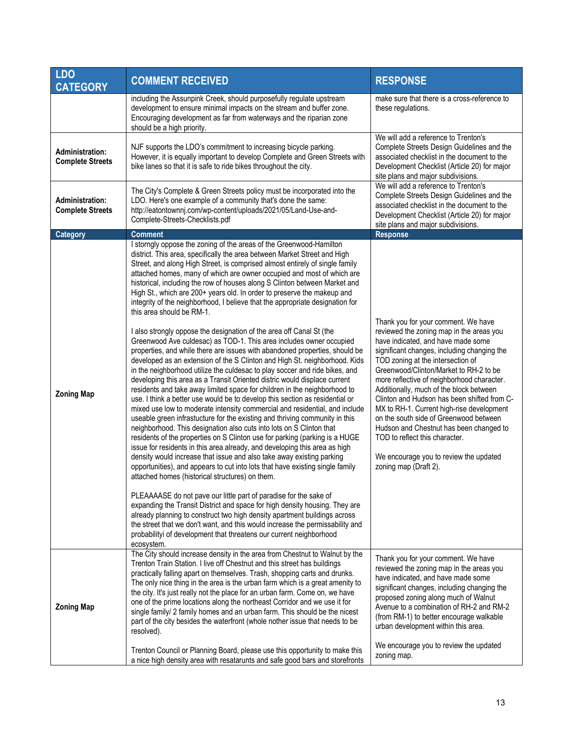| <b>LDO</b><br><b>CATEGORY</b>                     | <b>COMMENT RECEIVED</b>                                                                                                                                                                                                                                                                                                                                                                                                                                                                                                                                                                                                                                                                                                                                                                                                                                                                                                                                                                                                                                                                                                                                                                                                                                                                                                                                                                                                                                                                                                                                                                                                                                                                                                                                                                                                                                                                                                                                                                                                                                                                                                                                                | <b>RESPONSE</b>                                                                                                                                                                                                                                                                                                                                                                                                                                                                                                                                                                                                                    |
|---------------------------------------------------|------------------------------------------------------------------------------------------------------------------------------------------------------------------------------------------------------------------------------------------------------------------------------------------------------------------------------------------------------------------------------------------------------------------------------------------------------------------------------------------------------------------------------------------------------------------------------------------------------------------------------------------------------------------------------------------------------------------------------------------------------------------------------------------------------------------------------------------------------------------------------------------------------------------------------------------------------------------------------------------------------------------------------------------------------------------------------------------------------------------------------------------------------------------------------------------------------------------------------------------------------------------------------------------------------------------------------------------------------------------------------------------------------------------------------------------------------------------------------------------------------------------------------------------------------------------------------------------------------------------------------------------------------------------------------------------------------------------------------------------------------------------------------------------------------------------------------------------------------------------------------------------------------------------------------------------------------------------------------------------------------------------------------------------------------------------------------------------------------------------------------------------------------------------------|------------------------------------------------------------------------------------------------------------------------------------------------------------------------------------------------------------------------------------------------------------------------------------------------------------------------------------------------------------------------------------------------------------------------------------------------------------------------------------------------------------------------------------------------------------------------------------------------------------------------------------|
|                                                   | including the Assunpink Creek, should purposefully regulate upstream<br>development to ensure minimal impacts on the stream and buffer zone.<br>Encouraging development as far from waterways and the riparian zone<br>should be a high priority.                                                                                                                                                                                                                                                                                                                                                                                                                                                                                                                                                                                                                                                                                                                                                                                                                                                                                                                                                                                                                                                                                                                                                                                                                                                                                                                                                                                                                                                                                                                                                                                                                                                                                                                                                                                                                                                                                                                      | make sure that there is a cross-reference to<br>these regulations.                                                                                                                                                                                                                                                                                                                                                                                                                                                                                                                                                                 |
| <b>Administration:</b><br><b>Complete Streets</b> | NJF supports the LDO's commitment to increasing bicycle parking.<br>However, it is equally important to develop Complete and Green Streets with<br>bike lanes so that it is safe to ride bikes throughout the city.                                                                                                                                                                                                                                                                                                                                                                                                                                                                                                                                                                                                                                                                                                                                                                                                                                                                                                                                                                                                                                                                                                                                                                                                                                                                                                                                                                                                                                                                                                                                                                                                                                                                                                                                                                                                                                                                                                                                                    | We will add a reference to Trenton's<br>Complete Streets Design Guidelines and the<br>associated checklist in the document to the<br>Development Checklist (Article 20) for major<br>site plans and major subdivisions.                                                                                                                                                                                                                                                                                                                                                                                                            |
| <b>Administration:</b><br><b>Complete Streets</b> | The City's Complete & Green Streets policy must be incorporated into the<br>LDO. Here's one example of a community that's done the same:<br>http://eatontownnj.com/wp-content/uploads/2021/05/Land-Use-and-<br>Complete-Streets-Checklists.pdf                                                                                                                                                                                                                                                                                                                                                                                                                                                                                                                                                                                                                                                                                                                                                                                                                                                                                                                                                                                                                                                                                                                                                                                                                                                                                                                                                                                                                                                                                                                                                                                                                                                                                                                                                                                                                                                                                                                         | We will add a reference to Trenton's<br>Complete Streets Design Guidelines and the<br>associated checklist in the document to the<br>Development Checklist (Article 20) for major<br>site plans and major subdivisions.                                                                                                                                                                                                                                                                                                                                                                                                            |
| Category                                          | <b>Comment</b><br>I storngly oppose the zoning of the areas of the Greenwood-Hamilton                                                                                                                                                                                                                                                                                                                                                                                                                                                                                                                                                                                                                                                                                                                                                                                                                                                                                                                                                                                                                                                                                                                                                                                                                                                                                                                                                                                                                                                                                                                                                                                                                                                                                                                                                                                                                                                                                                                                                                                                                                                                                  | <b>Response</b>                                                                                                                                                                                                                                                                                                                                                                                                                                                                                                                                                                                                                    |
| <b>Zoning Map</b>                                 | district. This area, specifically the area between Market Street and High<br>Street, and along High Street, is comprised almost entirely of single family<br>attached homes, many of which are owner occupied and most of which are<br>historical, including the row of houses along S Clinton between Market and<br>High St., which are 200+ years old. In order to preserve the makeup and<br>integrity of the neighborhood, I believe that the appropriate designation for<br>this area should be RM-1.<br>I also strongly oppose the designation of the area off Canal St (the<br>Greenwood Ave culdesac) as TOD-1. This area includes owner occupied<br>properties, and while there are issues with abandoned properties, should be<br>developed as an extension of the S Clinton and High St. neighborhood. Kids<br>in the neighborhood utilize the culdesac to play soccer and ride bikes, and<br>developing this area as a Transit Oriented distric would displace current<br>residents and take away limited space for children in the neighborhood to<br>use. I think a better use would be to develop this section as residential or<br>mixed use low to moderate intensity commercial and residential, and include<br>useable green infrastucture for the existing and thriving community in this<br>neighborhood. This designation also cuts into lots on S Clinton that<br>residents of the properties on S Clinton use for parking (parking is a HUGE<br>issue for residents in this area already, and developing this area as high<br>density would increase that issue and also take away existing parking<br>opportunities), and appears to cut into lots that have existing single family<br>attached homes (historical structures) on them.<br>PLEAAAASE do not pave our little part of paradise for the sake of<br>expanding the Transit District and space for high density housing. They are<br>already planning to construct two high density apartment buildings across<br>the street that we don't want, and this would increase the permissability and<br>probabilityi of development that threatens our current neighborhood<br>ecosystem. | Thank you for your comment. We have<br>reviewed the zoning map in the areas you<br>have indicated, and have made some<br>significant changes, including changing the<br>TOD zoning at the intersection of<br>Greenwood/Clinton/Market to RH-2 to be<br>more reflective of neighborhood character.<br>Additionally, much of the block between<br>Clinton and Hudson has been shifted from C-<br>MX to RH-1. Current high-rise development<br>on the south side of Greenwood between<br>Hudson and Chestnut has been changed to<br>TOD to reflect this character.<br>We encourage you to review the updated<br>zoning map (Draft 2). |
| <b>Zoning Map</b>                                 | The City should increase density in the area from Chestnut to Walnut by the<br>Trenton Train Station. I live off Chestnut and this street has buildings<br>practically falling apart on themselves. Trash, shopping carts and drunks.<br>The only nice thing in the area is the urban farm which is a great amenity to<br>the city. It's just really not the place for an urban farm. Come on, we have<br>one of the prime locations along the northeast Corridor and we use it for<br>single family/ 2 family homes and an urban farm. This should be the nicest<br>part of the city besides the waterfront (whole nother issue that needs to be<br>resolved).<br>Trenton Council or Planning Board, please use this opportunity to make this<br>a nice high density area with resatarunts and safe good bars and storefronts                                                                                                                                                                                                                                                                                                                                                                                                                                                                                                                                                                                                                                                                                                                                                                                                                                                                                                                                                                                                                                                                                                                                                                                                                                                                                                                                         | Thank you for your comment. We have<br>reviewed the zoning map in the areas you<br>have indicated, and have made some<br>significant changes, including changing the<br>proposed zoning along much of Walnut<br>Avenue to a combination of RH-2 and RM-2<br>(from RM-1) to better encourage walkable<br>urban development within this area.<br>We encourage you to review the updated<br>zoning map.                                                                                                                                                                                                                               |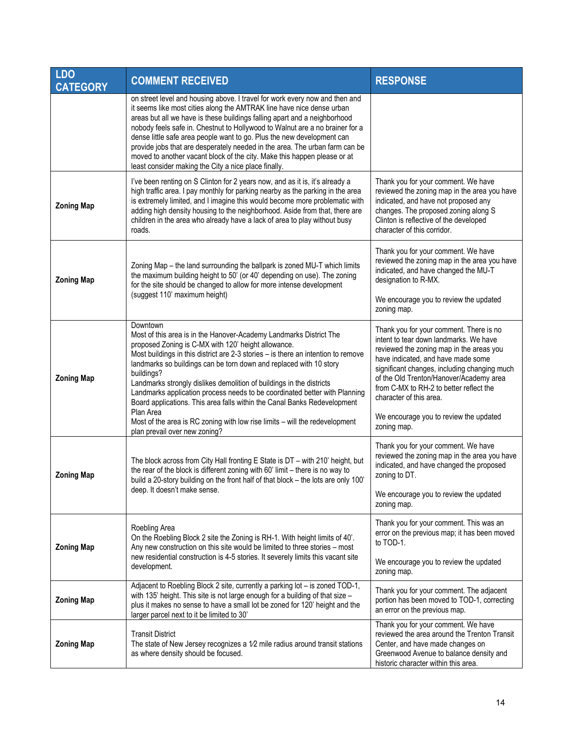| <b>LDO</b><br><b>CATEGORY</b> | <b>COMMENT RECEIVED</b>                                                                                                                                                                                                                                                                                                                                                                                                                                                                                                                                                                                                                                                       | <b>RESPONSE</b>                                                                                                                                                                                                                                                                                                                                                                               |
|-------------------------------|-------------------------------------------------------------------------------------------------------------------------------------------------------------------------------------------------------------------------------------------------------------------------------------------------------------------------------------------------------------------------------------------------------------------------------------------------------------------------------------------------------------------------------------------------------------------------------------------------------------------------------------------------------------------------------|-----------------------------------------------------------------------------------------------------------------------------------------------------------------------------------------------------------------------------------------------------------------------------------------------------------------------------------------------------------------------------------------------|
|                               | on street level and housing above. I travel for work every now and then and<br>it seems like most cities along the AMTRAK line have nice dense urban<br>areas but all we have is these buildings falling apart and a neighborhood<br>nobody feels safe in. Chestnut to Hollywood to Walnut are a no brainer for a<br>dense little safe area people want to go. Plus the new development can<br>provide jobs that are desperately needed in the area. The urban farm can be<br>moved to another vacant block of the city. Make this happen please or at<br>least consider making the City a nice place finally.                                                                |                                                                                                                                                                                                                                                                                                                                                                                               |
| <b>Zoning Map</b>             | I've been renting on S Clinton for 2 years now, and as it is, it's already a<br>high traffic area. I pay monthly for parking nearby as the parking in the area<br>is extremely limited, and I imagine this would become more problematic with<br>adding high density housing to the neighborhood. Aside from that, there are<br>children in the area who already have a lack of area to play without busy<br>roads.                                                                                                                                                                                                                                                           | Thank you for your comment. We have<br>reviewed the zoning map in the area you have<br>indicated, and have not proposed any<br>changes. The proposed zoning along S<br>Clinton is reflective of the developed<br>character of this corridor.                                                                                                                                                  |
| <b>Zoning Map</b>             | Zoning Map - the land surrounding the ballpark is zoned MU-T which limits<br>the maximum building height to 50' (or 40' depending on use). The zoning<br>for the site should be changed to allow for more intense development<br>(suggest 110' maximum height)                                                                                                                                                                                                                                                                                                                                                                                                                | Thank you for your comment. We have<br>reviewed the zoning map in the area you have<br>indicated, and have changed the MU-T<br>designation to R-MX.<br>We encourage you to review the updated<br>zoning map.                                                                                                                                                                                  |
| <b>Zoning Map</b>             | Downtown<br>Most of this area is in the Hanover-Academy Landmarks District The<br>proposed Zoning is C-MX with 120' height allowance.<br>Most buildings in this district are 2-3 stories - is there an intention to remove<br>landmarks so buildings can be torn down and replaced with 10 story<br>buildings?<br>Landmarks strongly dislikes demolition of buildings in the districts<br>Landmarks application process needs to be coordinated better with Planning<br>Board applications. This area falls within the Canal Banks Redevelopment<br>Plan Area<br>Most of the area is RC zoning with low rise limits - will the redevelopment<br>plan prevail over new zoning? | Thank you for your comment. There is no<br>intent to tear down landmarks. We have<br>reviewed the zoning map in the areas you<br>have indicated, and have made some<br>significant changes, including changing much<br>of the Old Trenton/Hanover/Academy area<br>from C-MX to RH-2 to better reflect the<br>character of this area.<br>We encourage you to review the updated<br>zoning map. |
| <b>Zoning Map</b>             | The block across from City Hall fronting E State is DT - with 210' height, but<br>the rear of the block is different zoning with 60' limit - there is no way to<br>build a 20-story building on the front half of that block - the lots are only 100'<br>deep. It doesn't make sense.                                                                                                                                                                                                                                                                                                                                                                                         | Thank you for your comment. We have<br>reviewed the zoning map in the area you have<br>indicated, and have changed the proposed<br>zoning to DT.<br>We encourage you to review the updated<br>zoning map.                                                                                                                                                                                     |
| <b>Zoning Map</b>             | Roebling Area<br>On the Roebling Block 2 site the Zoning is RH-1. With height limits of 40'.<br>Any new construction on this site would be limited to three stories - most<br>new residential construction is 4-5 stories. It severely limits this vacant site<br>development.                                                                                                                                                                                                                                                                                                                                                                                                | Thank you for your comment. This was an<br>error on the previous map; it has been moved<br>to TOD-1.<br>We encourage you to review the updated<br>zoning map.                                                                                                                                                                                                                                 |
| <b>Zoning Map</b>             | Adjacent to Roebling Block 2 site, currently a parking lot - is zoned TOD-1,<br>with 135' height. This site is not large enough for a building of that size -<br>plus it makes no sense to have a small lot be zoned for 120' height and the<br>larger parcel next to it be limited to 30'                                                                                                                                                                                                                                                                                                                                                                                    | Thank you for your comment. The adjacent<br>portion has been moved to TOD-1, correcting<br>an error on the previous map.                                                                                                                                                                                                                                                                      |
| <b>Zoning Map</b>             | <b>Transit District</b><br>The state of New Jersey recognizes a $1/2$ mile radius around transit stations<br>as where density should be focused.                                                                                                                                                                                                                                                                                                                                                                                                                                                                                                                              | Thank you for your comment. We have<br>reviewed the area around the Trenton Transit<br>Center, and have made changes on<br>Greenwood Avenue to balance density and<br>historic character within this area.                                                                                                                                                                                    |